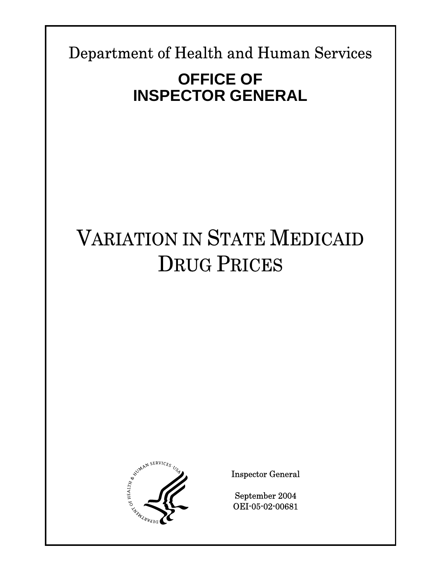Department of Health and Human Services

# **OFFICE OF INSPECTOR GENERAL**

# VARIATION IN STATE MEDICAID DRUG PRICES



Inspector General

September 2004 OEI-05-02-00681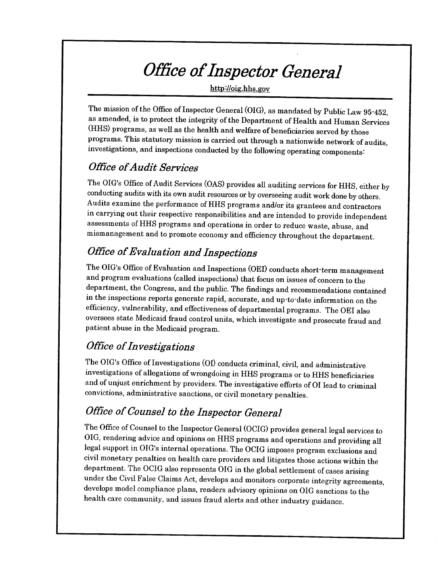# Office of Inspector General

http://oig.hhs.gov

The mission of the Office of Inspector General (OIG), as mandated by Public Law 95-452, as amended, is to protect the integrity of the Department of Health and Human Services (HHS) programs, as well as the health and welfare of beneficiaries served by those programs. This statutory mission is carried out through a nationwide network of audits, investigations, and inspections conducted by the following operating components:

## **Office of Audit Services**

The OIG's Office of Audit Services (OAS) provides all auditing services for HHS, either by conducting audits with its own audit resources or by overseeing audit work done by others. Audits examine the performance of HHS programs and/or its grantees and contractors in carrying out their respective responsibilities and are intended to provide independent assessments of HHS programs and operations in order to reduce waste, abuse, and mismanagement and to promote economy and efficiency throughout the department.

# **Office of Evaluation and Inspections**

The OIG's Office of Evaluation and Inspections (OEI) conducts short-term management and program evaluations (called inspections) that focus on issues of concern to the department, the Congress, and the public. The findings and recommendations contained in the inspections reports generate rapid, accurate, and up-to-date information on the efficiency, vulnerability, and effectiveness of departmental programs. The OEI also oversees state Medicaid fraud control units, which investigate and prosecute fraud and patient abuse in the Medicaid program.

# **Office of Investigations**

The OIG's Office of Investigations (OI) conducts criminal, civil, and administrative investigations of allegations of wrongdoing in HHS programs or to HHS beneficiaries and of unjust enrichment by providers. The investigative efforts of OI lead to criminal convictions, administrative sanctions, or civil monetary penalties.

## Office of Counsel to the Inspector General

The Office of Counsel to the Inspector General (OCIG) provides general legal services to OIG, rendering advice and opinions on HHS programs and operations and providing all legal support in OIG's internal operations. The OCIG imposes program exclusions and civil monetary penalties on health care providers and litigates those actions within the department. The OCIG also represents OIG in the global settlement of cases arising under the Civil False Claims Act, develops and monitors corporate integrity agreements, develops model compliance plans, renders advisory opinions on OIG sanctions to the health care community, and issues fraud alerts and other industry guidance.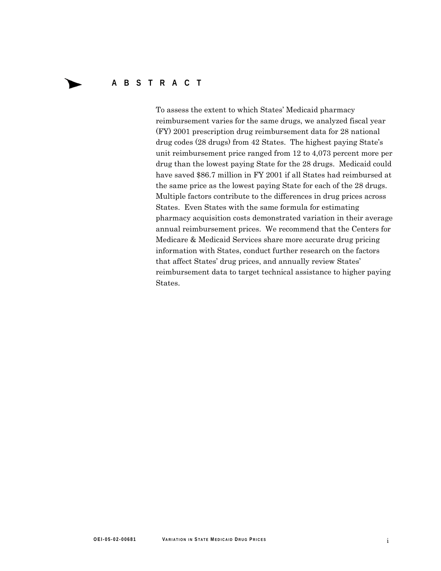### **ABSTRACT**

To assess the extent to which States' Medicaid pharmacy reimbursement varies for the same drugs, we analyzed fiscal year (FY) 2001 prescription drug reimbursement data for 28 national drug codes (28 drugs) from 42 States. The highest paying State's unit reimbursement price ranged from 12 to 4,073 percent more per drug than the lowest paying State for the 28 drugs. Medicaid could have saved \$86.7 million in FY 2001 if all States had reimbursed at the same price as the lowest paying State for each of the 28 drugs. Multiple factors contribute to the differences in drug prices across States. Even States with the same formula for estimating pharmacy acquisition costs demonstrated variation in their average annual reimbursement prices. We recommend that the Centers for Medicare & Medicaid Services share more accurate drug pricing information with States, conduct further research on the factors that affect States' drug prices, and annually review States' reimbursement data to target technical assistance to higher paying States.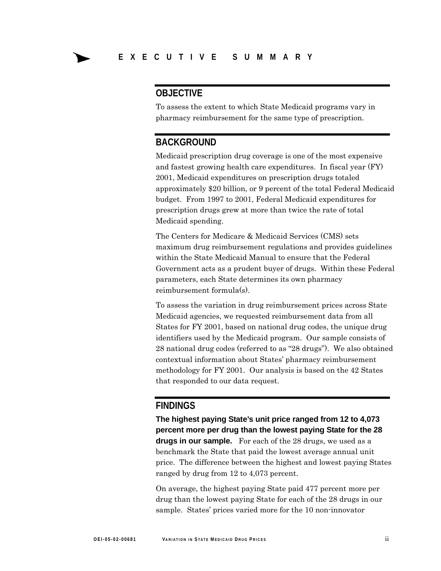### **OBJECTIVE**

To assess the extent to which State Medicaid programs vary in pharmacy reimbursement for the same type of prescription.

### **BACKGROUND**

Medicaid prescription drug coverage is one of the most expensive and fastest growing health care expenditures. In fiscal year (FY) 2001, Medicaid expenditures on prescription drugs totaled approximately \$20 billion, or 9 percent of the total Federal Medicaid budget. From 1997 to 2001, Federal Medicaid expenditures for prescription drugs grew at more than twice the rate of total Medicaid spending.

The Centers for Medicare & Medicaid Services (CMS) sets maximum drug reimbursement regulations and provides guidelines within the State Medicaid Manual to ensure that the Federal Government acts as a prudent buyer of drugs. Within these Federal parameters, each State determines its own pharmacy reimbursement formula(s).

To assess the variation in drug reimbursement prices across State Medicaid agencies, we requested reimbursement data from all States for FY 2001, based on national drug codes, the unique drug identifiers used by the Medicaid program. Our sample consists of 28 national drug codes (referred to as "28 drugs"). We also obtained contextual information about States' pharmacy reimbursement methodology for FY 2001. Our analysis is based on the 42 States that responded to our data request.

### **FINDINGS**

**The highest paying State's unit price ranged from 12 to 4,073 percent more per drug than the lowest paying State for the 28 drugs in our sample.** For each of the 28 drugs, we used as a benchmark the State that paid the lowest average annual unit price. The difference between the highest and lowest paying States ranged by drug from 12 to 4,073 percent.

On average, the highest paying State paid 477 percent more per drug than the lowest paying State for each of the 28 drugs in our sample. States' prices varied more for the 10 non-innovator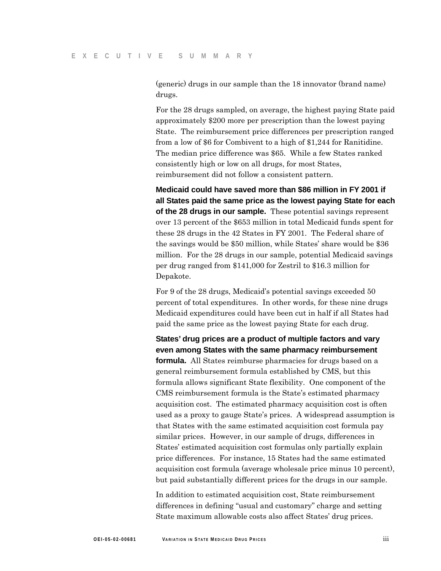(generic) drugs in our sample than the 18 innovator (brand name) drugs.

For the 28 drugs sampled, on average, the highest paying State paid approximately \$200 more per prescription than the lowest paying State. The reimbursement price differences per prescription ranged from a low of \$6 for Combivent to a high of \$1,244 for Ranitidine. The median price difference was \$65. While a few States ranked consistently high or low on all drugs, for most States, reimbursement did not follow a consistent pattern.

**Medicaid could have saved more than \$86 million in FY 2001 if all States paid the same price as the lowest paying State for each of the 28 drugs in our sample.** These potential savings represent over 13 percent of the \$653 million in total Medicaid funds spent for these 28 drugs in the 42 States in FY 2001. The Federal share of the savings would be \$50 million, while States' share would be \$36 million. For the 28 drugs in our sample, potential Medicaid savings per drug ranged from \$141,000 for Zestril to \$16.3 million for Depakote.

For 9 of the 28 drugs, Medicaid's potential savings exceeded 50 percent of total expenditures. In other words, for these nine drugs Medicaid expenditures could have been cut in half if all States had paid the same price as the lowest paying State for each drug.

**States' drug prices are a product of multiple factors and vary even among States with the same pharmacy reimbursement formula.** All States reimburse pharmacies for drugs based on a general reimbursement formula established by CMS, but this formula allows significant State flexibility. One component of the CMS reimbursement formula is the State's estimated pharmacy acquisition cost. The estimated pharmacy acquisition cost is often used as a proxy to gauge State's prices. A widespread assumption is that States with the same estimated acquisition cost formula pay similar prices. However, in our sample of drugs, differences in States' estimated acquisition cost formulas only partially explain price differences. For instance, 15 States had the same estimated acquisition cost formula (average wholesale price minus 10 percent), but paid substantially different prices for the drugs in our sample.

In addition to estimated acquisition cost, State reimbursement differences in defining "usual and customary" charge and setting State maximum allowable costs also affect States' drug prices.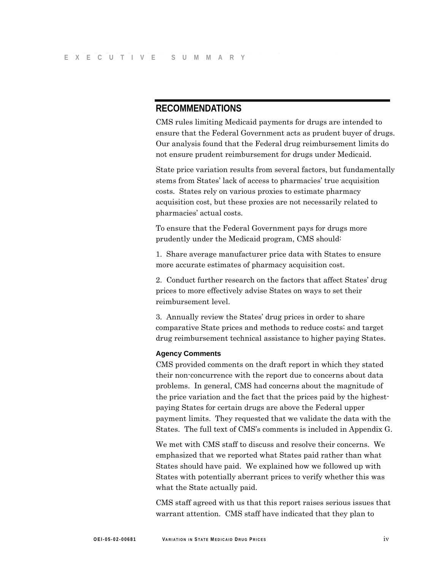### **RECOMMENDATIONS**

CMS rules limiting Medicaid payments for drugs are intended to ensure that the Federal Government acts as prudent buyer of drugs. Our analysis found that the Federal drug reimbursement limits do not ensure prudent reimbursement for drugs under Medicaid.

State price variation results from several factors, but fundamentally stems from States' lack of access to pharmacies' true acquisition costs. States rely on various proxies to estimate pharmacy acquisition cost, but these proxies are not necessarily related to pharmacies' actual costs.

To ensure that the Federal Government pays for drugs more prudently under the Medicaid program, CMS should:

1. Share average manufacturer price data with States to ensure more accurate estimates of pharmacy acquisition cost.

2. Conduct further research on the factors that affect States' drug prices to more effectively advise States on ways to set their reimbursement level.

3. Annually review the States' drug prices in order to share comparative State prices and methods to reduce costs; and target drug reimbursement technical assistance to higher paying States.

#### **Agency Comments**

CMS provided comments on the draft report in which they stated their non-concurrence with the report due to concerns about data problems. In general, CMS had concerns about the magnitude of the price variation and the fact that the prices paid by the highestpaying States for certain drugs are above the Federal upper payment limits. They requested that we validate the data with the States. The full text of CMS's comments is included in Appendix G.

We met with CMS staff to discuss and resolve their concerns. We emphasized that we reported what States paid rather than what States should have paid. We explained how we followed up with States with potentially aberrant prices to verify whether this was what the State actually paid.

CMS staff agreed with us that this report raises serious issues that warrant attention. CMS staff have indicated that they plan to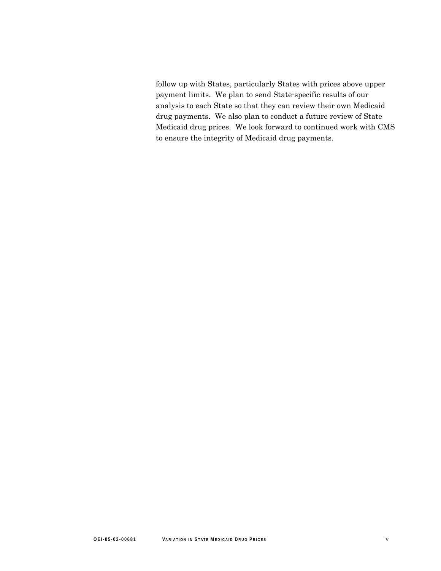follow up with States, particularly States with prices above upper payment limits. We plan to send State-specific results of our analysis to each State so that they can review their own Medicaid drug payments. We also plan to conduct a future review of State Medicaid drug prices. We look forward to continued work with CMS to ensure the integrity of Medicaid drug payments.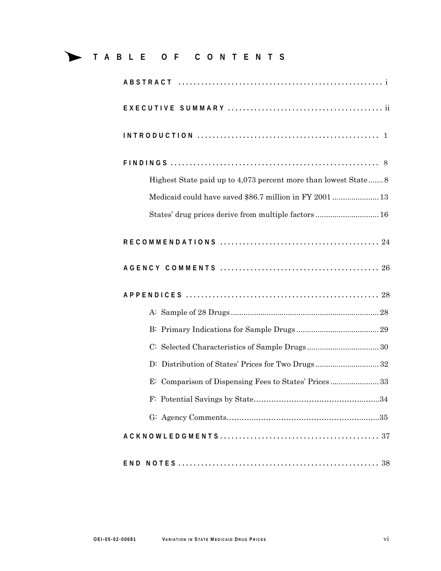## **TABLE OF CONTENTS**

| Highest State paid up to 4,073 percent more than lowest State 8 |
|-----------------------------------------------------------------|
| Medicaid could have saved \$86.7 million in FY 2001  13         |
| States' drug prices derive from multiple factors  16            |
|                                                                 |
|                                                                 |
|                                                                 |
|                                                                 |
|                                                                 |
|                                                                 |
|                                                                 |
| D: Distribution of States' Prices for Two Drugs32               |
| E: Comparison of Dispensing Fees to States' Prices33            |
|                                                                 |
|                                                                 |
|                                                                 |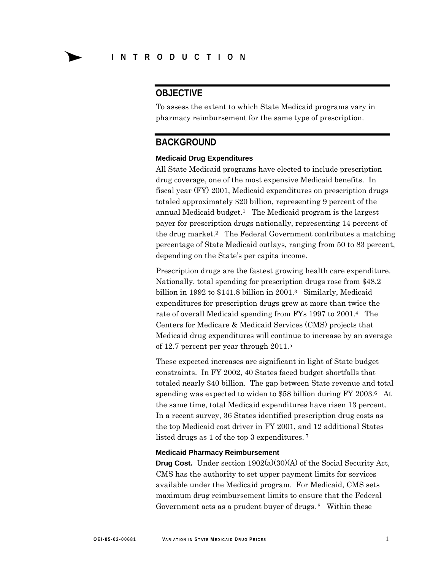### **OBJECTIVE**

To assess the extent to which State Medicaid programs vary in pharmacy reimbursement for the same type of prescription.

### **BACKGROUND**

#### **Medicaid Drug Expenditures**

All State Medicaid programs have elected to include prescription drug coverage, one of the most expensive Medicaid benefits. In fiscal year (FY) 2001, Medicaid expenditures on prescription drugs totaled approximately \$20 billion, representing 9 percent of the annual Medicaid budget.<sup>1</sup> The Medicaid program is the largest payer for prescription drugs nationally, representing 14 percent of the drug market.2 The Federal Government contributes a matching percentage of State Medicaid outlays, ranging from 50 to 83 percent, depending on the State's per capita income.

Prescription drugs are the fastest growing health care expenditure. Nationally, total spending for prescription drugs rose from \$48.2 billion in 1992 to \$141.8 billion in 2001.<sup>3</sup> Similarly, Medicaid expenditures for prescription drugs grew at more than twice the rate of overall Medicaid spending from FYs 1997 to 2001.4 The Centers for Medicare & Medicaid Services (CMS) projects that Medicaid drug expenditures will continue to increase by an average of 12.7 percent per year through 2011.5

These expected increases are significant in light of State budget constraints. In FY 2002, 40 States faced budget shortfalls that totaled nearly \$40 billion. The gap between State revenue and total spending was expected to widen to \$58 billion during FY 2003.<sup>6</sup> At the same time, total Medicaid expenditures have risen 13 percent. In a recent survey, 36 States identified prescription drug costs as the top Medicaid cost driver in FY 2001, and 12 additional States listed drugs as 1 of the top 3 expenditures. 7

#### **Medicaid Pharmacy Reimbursement**

**Drug Cost.** Under section 1902(a)(30)(A) of the Social Security Act, CMS has the authority to set upper payment limits for services available under the Medicaid program. For Medicaid, CMS sets maximum drug reimbursement limits to ensure that the Federal Government acts as a prudent buyer of drugs. 8 Within these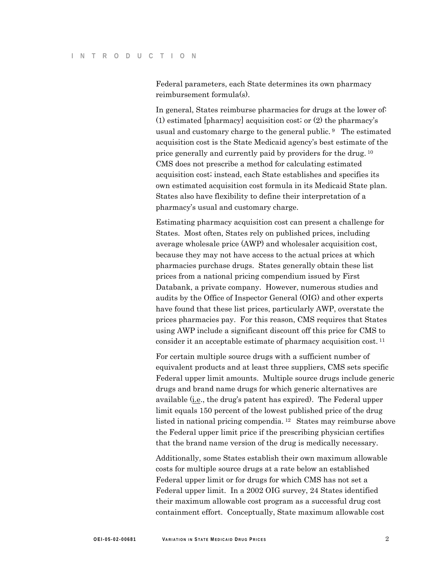Federal parameters, each State determines its own pharmacy reimbursement formula(s).

In general, States reimburse pharmacies for drugs at the lower of. (1) estimated [pharmacy] acquisition cost; or (2) the pharmacy's usual and customary charge to the general public. 9 The estimated acquisition cost is the State Medicaid agency's best estimate of the price generally and currently paid by providers for the drug. 10 CMS does not prescribe a method for calculating estimated acquisition cost; instead, each State establishes and specifies its own estimated acquisition cost formula in its Medicaid State plan. States also have flexibility to define their interpretation of a pharmacy's usual and customary charge.

Estimating pharmacy acquisition cost can present a challenge for States. Most often, States rely on published prices, including average wholesale price (AWP) and wholesaler acquisition cost, because they may not have access to the actual prices at which pharmacies purchase drugs. States generally obtain these list prices from a national pricing compendium issued by First Databank, a private company. However, numerous studies and audits by the Office of Inspector General (OIG) and other experts have found that these list prices, particularly AWP, overstate the prices pharmacies pay. For this reason, CMS requires that States using AWP include a significant discount off this price for CMS to consider it an acceptable estimate of pharmacy acquisition cost. 11

For certain multiple source drugs with a sufficient number of equivalent products and at least three suppliers, CMS sets specific Federal upper limit amounts. Multiple source drugs include generic drugs and brand name drugs for which generic alternatives are available (i.e., the drug's patent has expired). The Federal upper limit equals 150 percent of the lowest published price of the drug listed in national pricing compendia. 12 States may reimburse above the Federal upper limit price if the prescribing physician certifies that the brand name version of the drug is medically necessary.

Additionally, some States establish their own maximum allowable costs for multiple source drugs at a rate below an established Federal upper limit or for drugs for which CMS has not set a Federal upper limit. In a 2002 OIG survey, 24 States identified their maximum allowable cost program as a successful drug cost containment effort. Conceptually, State maximum allowable cost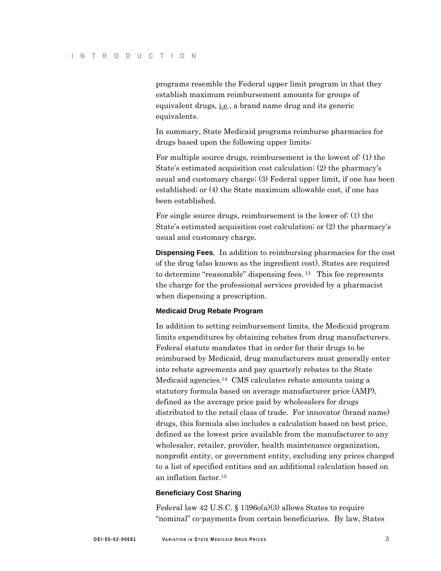programs resemble the Federal upper limit program in that they establish maximum reimbursement amounts for groups of equivalent drugs, i.e., a brand name drug and its generic equivalents.

In summary, State Medicaid programs reimburse pharmacies for drugs based upon the following upper limits:

For multiple source drugs, reimbursement is the lowest of: (1) the State's estimated acquisition cost calculation; (2) the pharmacy's usual and customary charge; (3) Federal upper limit, if one has been established; or (4) the State maximum allowable cost, if one has been established.

For single source drugs, reimbursement is the lower of: (1) the State's estimated acquisition cost calculation; or (2) the pharmacy's usual and customary charge.

**Dispensing Fees**. In addition to reimbursing pharmacies for the cost of the drug (also known as the ingredient cost), States are required to determine "reasonable" dispensing fees. <sup>13</sup> This fee represents the charge for the professional services provided by a pharmacist when dispensing a prescription.

#### **Medicaid Drug Rebate Program**

In addition to setting reimbursement limits, the Medicaid program limits expenditures by obtaining rebates from drug manufacturers. Federal statute mandates that in order for their drugs to be reimbursed by Medicaid, drug manufacturers must generally enter into rebate agreements and pay quarterly rebates to the State Medicaid agencies.14 CMS calculates rebate amounts using a statutory formula based on average manufacturer price (AMP), defined as the average price paid by wholesalers for drugs distributed to the retail class of trade. For innovator (brand name) drugs, this formula also includes a calculation based on best price, defined as the lowest price available from the manufacturer to any wholesaler, retailer, provider, health maintenance organization, nonprofit entity, or government entity, excluding any prices charged to a list of specified entities and an additional calculation based on an inflation factor.15

#### **Beneficiary Cost Sharing**

Federal law 42 U.S.C. § 1396o(a)(3) allows States to require "nominal" co-payments from certain beneficiaries. By law, States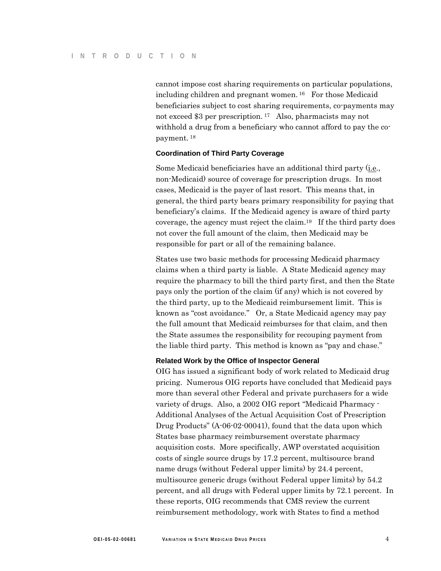cannot impose cost sharing requirements on particular populations, including children and pregnant women. 16 For those Medicaid beneficiaries subject to cost sharing requirements, co-payments may not exceed \$3 per prescription. 17 Also, pharmacists may not withhold a drug from a beneficiary who cannot afford to pay the copayment. 18

#### **Coordination of Third Party Coverage**

Some Medicaid beneficiaries have an additional third party (i.e., non-Medicaid) source of coverage for prescription drugs. In most cases, Medicaid is the payer of last resort. This means that, in general, the third party bears primary responsibility for paying that beneficiary's claims. If the Medicaid agency is aware of third party coverage, the agency must reject the claim.19 If the third party does not cover the full amount of the claim, then Medicaid may be responsible for part or all of the remaining balance.

States use two basic methods for processing Medicaid pharmacy claims when a third party is liable. A State Medicaid agency may require the pharmacy to bill the third party first, and then the State pays only the portion of the claim (if any) which is not covered by the third party, up to the Medicaid reimbursement limit. This is known as "cost avoidance." Or, a State Medicaid agency may pay the full amount that Medicaid reimburses for that claim, and then the State assumes the responsibility for recouping payment from the liable third party. This method is known as "pay and chase."

#### **Related Work by the Office of Inspector General**

OIG has issued a significant body of work related to Medicaid drug pricing. Numerous OIG reports have concluded that Medicaid pays more than several other Federal and private purchasers for a wide variety of drugs. Also, a 2002 OIG report "Medicaid Pharmacy - Additional Analyses of the Actual Acquisition Cost of Prescription Drug Products" (A-06-02-00041), found that the data upon which States base pharmacy reimbursement overstate pharmacy acquisition costs. More specifically, AWP overstated acquisition costs of single source drugs by 17.2 percent, multisource brand name drugs (without Federal upper limits) by 24.4 percent, multisource generic drugs (without Federal upper limits) by 54.2 percent, and all drugs with Federal upper limits by 72.1 percent. In these reports, OIG recommends that CMS review the current reimbursement methodology, work with States to find a method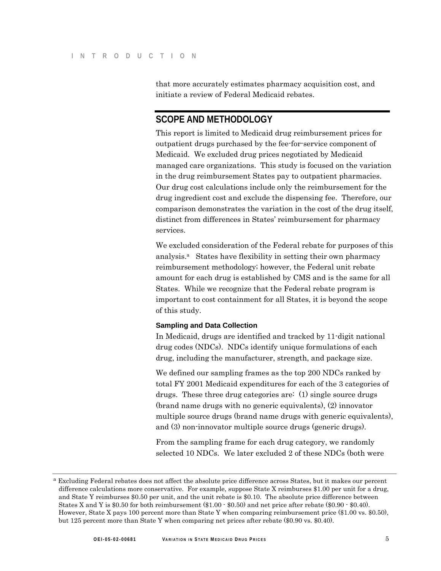that more accurately estimates pharmacy acquisition cost, and initiate a review of Federal Medicaid rebates.

### **SCOPE AND METHODOLOGY**

This report is limited to Medicaid drug reimbursement prices for outpatient drugs purchased by the fee-for-service component of Medicaid. We excluded drug prices negotiated by Medicaid managed care organizations. This study is focused on the variation in the drug reimbursement States pay to outpatient pharmacies. Our drug cost calculations include only the reimbursement for the drug ingredient cost and exclude the dispensing fee. Therefore, our comparison demonstrates the variation in the cost of the drug itself, distinct from differences in States' reimbursement for pharmacy services.

We excluded consideration of the Federal rebate for purposes of this analysis.<sup>4</sup> States have flexibility in setting their own pharmacy reimbursement methodology; however, the Federal unit rebate amount for each drug is established by CMS and is the same for all States. While we recognize that the Federal rebate program is important to cost containment for all States, it is beyond the scope of this study.

#### **Sampling and Data Collection**

In Medicaid, drugs are identified and tracked by 11-digit national drug codes (NDCs). NDCs identify unique formulations of each drug, including the manufacturer, strength, and package size.

We defined our sampling frames as the top 200 NDCs ranked by total FY 2001 Medicaid expenditures for each of the 3 categories of drugs. These three drug categories are: (1) single source drugs (brand name drugs with no generic equivalents), (2) innovator multiple source drugs (brand name drugs with generic equivalents), and (3) non-innovator multiple source drugs (generic drugs).

From the sampling frame for each drug category, we randomly selected 10 NDCs. We later excluded 2 of these NDCs (both were

a Excluding Federal rebates does not affect the absolute price difference across States, but it makes our percent difference calculations more conservative. For example, suppose State X reimburses \$1.00 per unit for a drug, and State Y reimburses \$0.50 per unit, and the unit rebate is \$0.10. The absolute price difference between States X and Y is \$0.50 for both reimbursement (\$1.00 - \$0.50) and net price after rebate (\$0.90 - \$0.40). However, State X pays 100 percent more than State Y when comparing reimbursement price (\$1.00 vs. \$0.50), but 125 percent more than State Y when comparing net prices after rebate (\$0.90 vs. \$0.40).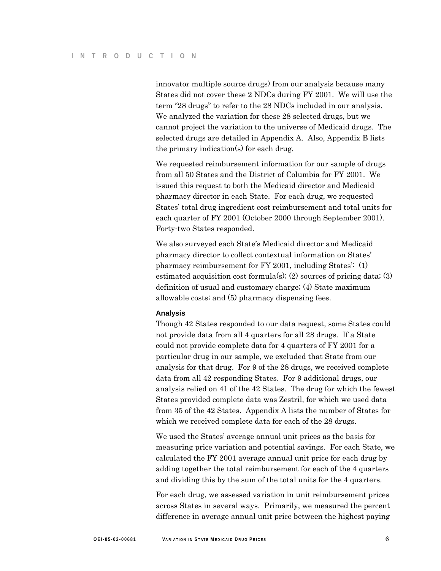innovator multiple source drugs) from our analysis because many States did not cover these 2 NDCs during FY 2001. We will use the term "28 drugs" to refer to the 28 NDCs included in our analysis. We analyzed the variation for these 28 selected drugs, but we cannot project the variation to the universe of Medicaid drugs. The selected drugs are detailed in Appendix A. Also, Appendix B lists the primary indication(s) for each drug.

We requested reimbursement information for our sample of drugs from all 50 States and the District of Columbia for FY 2001. We issued this request to both the Medicaid director and Medicaid pharmacy director in each State. For each drug, we requested States' total drug ingredient cost reimbursement and total units for each quarter of FY 2001 (October 2000 through September 2001). Forty-two States responded.

We also surveyed each State's Medicaid director and Medicaid pharmacy director to collect contextual information on States' pharmacy reimbursement for FY 2001, including States': (1) estimated acquisition cost formula(s); (2) sources of pricing data; (3) definition of usual and customary charge; (4) State maximum allowable costs; and (5) pharmacy dispensing fees.

#### **Analysis**

Though 42 States responded to our data request, some States could not provide data from all 4 quarters for all 28 drugs. If a State could not provide complete data for 4 quarters of FY 2001 for a particular drug in our sample, we excluded that State from our analysis for that drug. For 9 of the 28 drugs, we received complete data from all 42 responding States. For 9 additional drugs, our analysis relied on 41 of the 42 States. The drug for which the fewest States provided complete data was Zestril, for which we used data from 35 of the 42 States. Appendix A lists the number of States for which we received complete data for each of the 28 drugs.

We used the States' average annual unit prices as the basis for measuring price variation and potential savings. For each State, we calculated the FY 2001 average annual unit price for each drug by adding together the total reimbursement for each of the 4 quarters and dividing this by the sum of the total units for the 4 quarters.

For each drug, we assessed variation in unit reimbursement prices across States in several ways. Primarily, we measured the percent difference in average annual unit price between the highest paying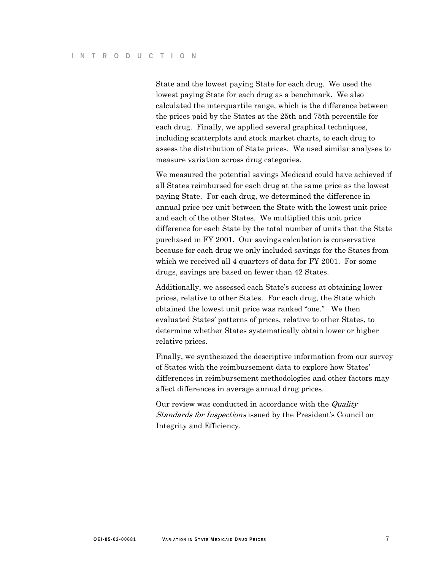State and the lowest paying State for each drug. We used the lowest paying State for each drug as a benchmark. We also calculated the interquartile range, which is the difference between the prices paid by the States at the 25th and 75th percentile for each drug. Finally, we applied several graphical techniques, including scatterplots and stock market charts, to each drug to assess the distribution of State prices. We used similar analyses to measure variation across drug categories.

We measured the potential savings Medicaid could have achieved if all States reimbursed for each drug at the same price as the lowest paying State. For each drug, we determined the difference in annual price per unit between the State with the lowest unit price and each of the other States. We multiplied this unit price difference for each State by the total number of units that the State purchased in FY 2001. Our savings calculation is conservative because for each drug we only included savings for the States from which we received all 4 quarters of data for FY 2001. For some drugs, savings are based on fewer than 42 States.

Additionally, we assessed each State's success at obtaining lower prices, relative to other States. For each drug, the State which obtained the lowest unit price was ranked "one." We then evaluated States' patterns of prices, relative to other States, to determine whether States systematically obtain lower or higher relative prices.

Finally, we synthesized the descriptive information from our survey of States with the reimbursement data to explore how States' differences in reimbursement methodologies and other factors may affect differences in average annual drug prices.

Our review was conducted in accordance with the *Quality Standards for Inspections* issued by the President's Council on Integrity and Efficiency.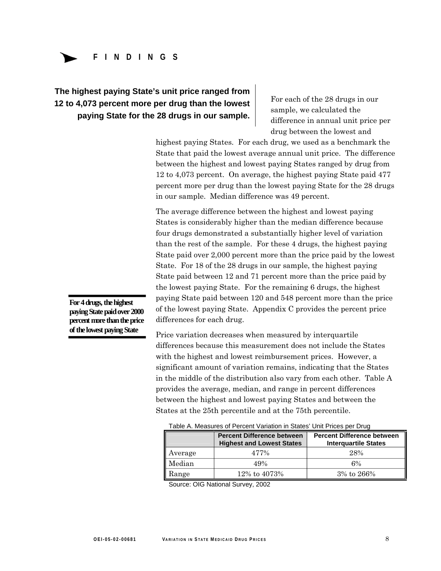

# **The highest paying State's unit price ranged from 12 to 4,073 percent more per drug than the lowest** For each of the 28 drugs in our **paying State for the 28 drugs in our sample.**  $\begin{array}{r} \text{For each of the 28 drugs in our sample, we calculated the differential equation (1) and (2) are given by the following equation:\n\n
$$
\begin{array}{r}\n\text{For each of the 28 drugs in our sample, we calculated the differential equation:\n\end{array}
$$$

drug between the lowest and

highest paying States. For each drug, we used as a benchmark the State that paid the lowest average annual unit price. The difference between the highest and lowest paying States ranged by drug from 12 to 4,073 percent. On average, the highest paying State paid 477 percent more per drug than the lowest paying State for the 28 drugs in our sample. Median difference was 49 percent.

The average difference between the highest and lowest paying States is considerably higher than the median difference because four drugs demonstrated a substantially higher level of variation than the rest of the sample. For these 4 drugs, the highest paying State paid over 2,000 percent more than the price paid by the lowest State. For 18 of the 28 drugs in our sample, the highest paying State paid between 12 and 71 percent more than the price paid by the lowest paying State. For the remaining 6 drugs, the highest **For 4 drugs, the highest** paying State paid between 120 and 548 percent more than the price **paying State paid over 2000** of the lowest paying State. Appendix C provides the percent price **percent more than the price** differences for each drug.

**of the lowest paying State** Price variation decreases when measured by interquartile differences because this measurement does not include the States with the highest and lowest reimbursement prices. However, a significant amount of variation remains, indicating that the States in the middle of the distribution also vary from each other. Table A provides the average, median, and range in percent differences between the highest and lowest paying States and between the States at the 25th percentile and at the 75th percentile.

| Table A. Measures of Percent Variation in States Unit Prices per Drug |                                                                       |                                                                  |  |  |  |  |
|-----------------------------------------------------------------------|-----------------------------------------------------------------------|------------------------------------------------------------------|--|--|--|--|
|                                                                       | <b>Percent Difference between</b><br><b>Highest and Lowest States</b> | <b>Percent Difference between</b><br><b>Interguartile States</b> |  |  |  |  |
| Average                                                               | 477%                                                                  | 28%                                                              |  |  |  |  |
| Median                                                                | 49%                                                                   | 6%                                                               |  |  |  |  |
| Range                                                                 | 12% to 4073%                                                          | 3% to 266%                                                       |  |  |  |  |

 $T$ a Measures of Percent Variation in States per Drug in States per Drug in States per Drug in States per Drug in States per Drug in States per Drug in States per Drug in States per Drug in States per Drug in Drug in Drug

Source: OIG National Survey, 2002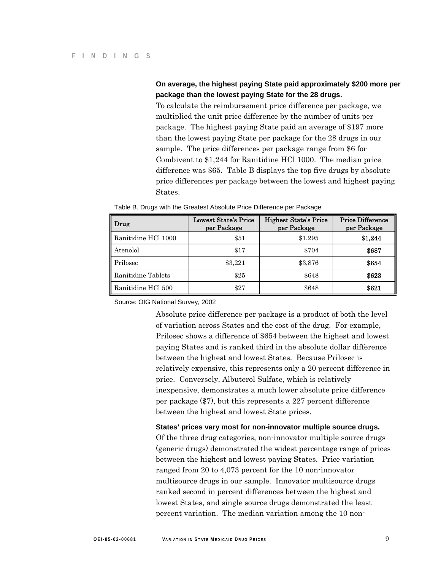### **On average, the highest paying State paid approximately \$200 more per package than the lowest paying State for the 28 drugs.**

To calculate the reimbursement price difference per package, we multiplied the unit price difference by the number of units per package. The highest paying State paid an average of \$197 more than the lowest paying State per package for the 28 drugs in our sample. The price differences per package range from \$6 for Combivent to \$1,244 for Ranitidine HCl 1000. The median price difference was \$65. Table B displays the top five drugs by absolute price differences per package between the lowest and highest paying States.

| Drug                | Lowest State's Price<br>per Package | <b>Highest State's Price</b><br>per Package | <b>Price Difference</b><br>per Package |
|---------------------|-------------------------------------|---------------------------------------------|----------------------------------------|
| Ranitidine HCl 1000 | \$51                                | \$1,295                                     | \$1,244                                |
| Atenolol            | \$17                                | \$704                                       | \$687                                  |
| Prilosec            | \$3,221                             | \$3,876                                     | \$654                                  |
| Ranitidine Tablets  | \$25                                | \$648                                       | \$623                                  |
| Ranitidine HCl 500  | \$27                                | \$648                                       | \$621                                  |

Table B. Drugs with the Greatest Absolute Price Difference per Package

Source: OIG National Survey, 2002

Absolute price difference per package is a product of both the level of variation across States and the cost of the drug. For example, Prilosec shows a difference of \$654 between the highest and lowest paying States and is ranked third in the absolute dollar difference between the highest and lowest States. Because Prilosec is relatively expensive, this represents only a 20 percent difference in price. Conversely, Albuterol Sulfate, which is relatively inexpensive, demonstrates a much lower absolute price difference per package (\$7), but this represents a 227 percent difference between the highest and lowest State prices.

#### **States' prices vary most for non-innovator multiple source drugs.**

Of the three drug categories, non-innovator multiple source drugs (generic drugs) demonstrated the widest percentage range of prices between the highest and lowest paying States. Price variation ranged from 20 to 4,073 percent for the 10 non-innovator multisource drugs in our sample. Innovator multisource drugs ranked second in percent differences between the highest and lowest States, and single source drugs demonstrated the least percent variation. The median variation among the 10 non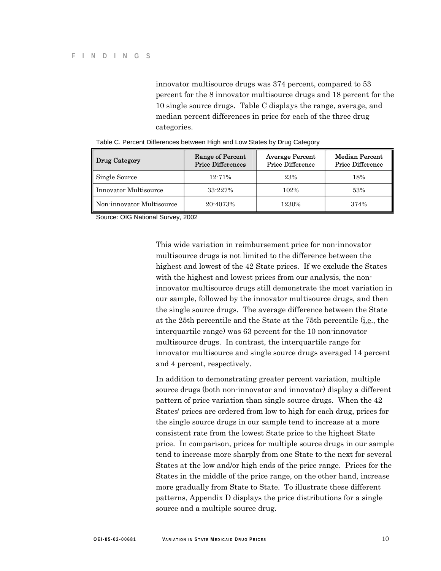innovator multisource drugs was 374 percent, compared to 53 percent for the 8 innovator multisource drugs and 18 percent for the 10 single source drugs. Table C displays the range, average, and median percent differences in price for each of the three drug categories.

| Drug Category             | Range of Percent<br><b>Price Differences</b> | <b>Average Percent</b><br><b>Price Difference</b> | <b>Median Percent</b><br><b>Price Difference</b> |
|---------------------------|----------------------------------------------|---------------------------------------------------|--------------------------------------------------|
| Single Source             | $12 - 71%$                                   | 23%                                               | 18%                                              |
| Innovator Multisource     | 33-227%                                      | 102%                                              | 53%                                              |
| Non-innovator Multisource | 20-4073%                                     | 1230%                                             | 374%                                             |

|  | Table C. Percent Differences between High and Low States by Drug Category |  |  |  |
|--|---------------------------------------------------------------------------|--|--|--|
|  |                                                                           |  |  |  |

Source: OIG National Survey, 2002

This wide variation in reimbursement price for non-innovator multisource drugs is not limited to the difference between the highest and lowest of the 42 State prices. If we exclude the States with the highest and lowest prices from our analysis, the noninnovator multisource drugs still demonstrate the most variation in our sample, followed by the innovator multisource drugs, and then the single source drugs. The average difference between the State at the 25th percentile and the State at the 75th percentile (i.e., the interquartile range) was 63 percent for the 10 non-innovator multisource drugs. In contrast, the interquartile range for innovator multisource and single source drugs averaged 14 percent and 4 percent, respectively.

In addition to demonstrating greater percent variation, multiple source drugs (both non-innovator and innovator) display a different pattern of price variation than single source drugs. When the 42 States' prices are ordered from low to high for each drug, prices for the single source drugs in our sample tend to increase at a more consistent rate from the lowest State price to the highest State price. In comparison, prices for multiple source drugs in our sample tend to increase more sharply from one State to the next for several States at the low and/or high ends of the price range. Prices for the States in the middle of the price range, on the other hand, increase more gradually from State to State. To illustrate these different patterns, Appendix D displays the price distributions for a single source and a multiple source drug.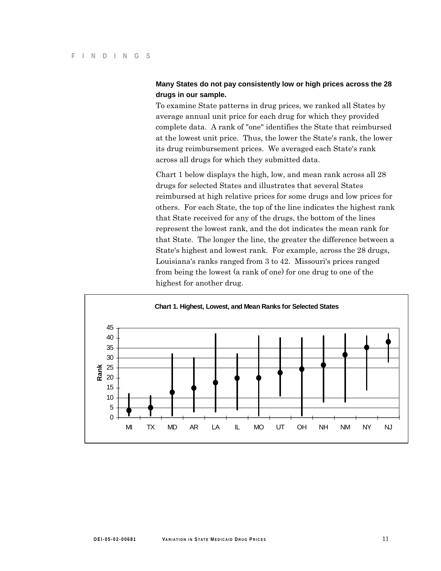### **Many States do not pay consistently low or high prices across the 28 drugs in our sample.**

To examine State patterns in drug prices, we ranked all States by average annual unit price for each drug for which they provided complete data. A rank of "one" identifies the State that reimbursed at the lowest unit price. Thus, the lower the State's rank, the lower its drug reimbursement prices. We averaged each State's rank across all drugs for which they submitted data.

Chart 1 below displays the high, low, and mean rank across all 28 drugs for selected States and illustrates that several States reimbursed at high relative prices for some drugs and low prices for others. For each State, the top of the line indicates the highest rank that State received for any of the drugs, the bottom of the lines represent the lowest rank, and the dot indicates the mean rank for that State. The longer the line, the greater the difference between a State's highest and lowest rank. For example, across the 28 drugs, Louisiana's ranks ranged from 3 to 42. Missouri's prices ranged from being the lowest (a rank of one) for one drug to one of the highest for another drug.

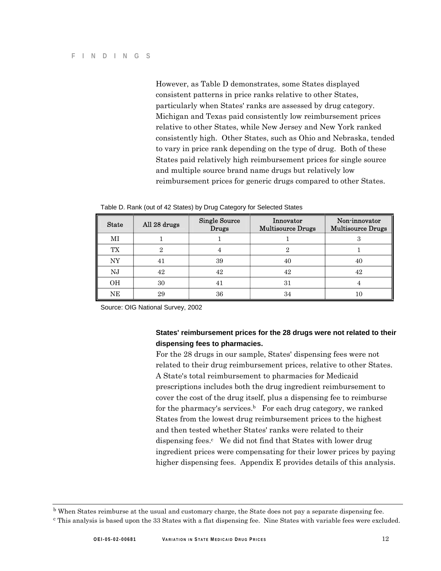However, as Table D demonstrates, some States displayed consistent patterns in price ranks relative to other States, particularly when States' ranks are assessed by drug category. Michigan and Texas paid consistently low reimbursement prices relative to other States, while New Jersey and New York ranked consistently high. Other States, such as Ohio and Nebraska, tended to vary in price rank depending on the type of drug. Both of these States paid relatively high reimbursement prices for single source and multiple source brand name drugs but relatively low reimbursement prices for generic drugs compared to other States.

| <b>State</b> | All 28 drugs | <b>Single Source</b><br>Drugs | Innovator<br><b>Multisource Drugs</b> | Non-innovator<br><b>Multisource Drugs</b> |
|--------------|--------------|-------------------------------|---------------------------------------|-------------------------------------------|
| МI           |              |                               |                                       | 3                                         |
| <b>TX</b>    | 2            | 4                             | 2                                     |                                           |
| NY           | 41           | 39                            | 40                                    | 40                                        |
| NJ           | 42           | 42                            | 42                                    | 42                                        |
| <b>OH</b>    | 30           | 41                            | 31                                    |                                           |
| <b>NE</b>    | 29           | 36                            | 34                                    | 10                                        |

Table D. Rank (out of 42 States) by Drug Category for Selected States

Source: OIG National Survey, 2002

### **States' reimbursement prices for the 28 drugs were not related to their dispensing fees to pharmacies.**

For the 28 drugs in our sample, States' dispensing fees were not related to their drug reimbursement prices, relative to other States. A State's total reimbursement to pharmacies for Medicaid prescriptions includes both the drug ingredient reimbursement to cover the cost of the drug itself, plus a dispensing fee to reimburse for the pharmacy's services. $<sup>b</sup>$  For each drug category, we ranked</sup> States from the lowest drug reimbursement prices to the highest and then tested whether States' ranks were related to their dispensing fees. $\epsilon$  We did not find that States with lower drug ingredient prices were compensating for their lower prices by paying higher dispensing fees. Appendix E provides details of this analysis.

b When States reimburse at the usual and customary charge, the State does not pay a separate dispensing fee.

c This analysis is based upon the 33 States with a flat dispensing fee. Nine States with variable fees were excluded.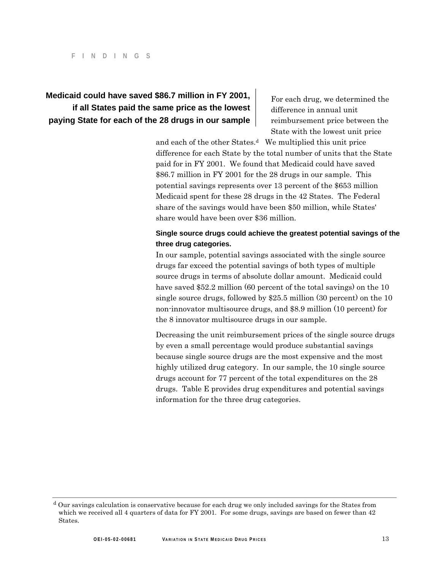### **Medicaid could have saved \$86.7 million in FY 2001,** For each drug, we determined the **if all States paid the same price as the lowest**  $\frac{d}{dt}$  difference in annual unit **paying State for each of the 28 drugs in our sample reaff and interest price between the**

State with the lowest unit price

and each of the other States.<sup>d</sup> We multiplied this unit price difference for each State by the total number of units that the State paid for in FY 2001. We found that Medicaid could have saved \$86.7 million in FY 2001 for the 28 drugs in our sample. This potential savings represents over 13 percent of the \$653 million Medicaid spent for these 28 drugs in the 42 States. The Federal share of the savings would have been \$50 million, while States' share would have been over \$36 million.

### **Single source drugs could achieve the greatest potential savings of the three drug categories.**

In our sample, potential savings associated with the single source drugs far exceed the potential savings of both types of multiple source drugs in terms of absolute dollar amount. Medicaid could have saved \$52.2 million (60 percent of the total savings) on the 10 single source drugs, followed by \$25.5 million (30 percent) on the 10 non-innovator multisource drugs, and \$8.9 million (10 percent) for the 8 innovator multisource drugs in our sample.

Decreasing the unit reimbursement prices of the single source drugs by even a small percentage would produce substantial savings because single source drugs are the most expensive and the most highly utilized drug category. In our sample, the 10 single source drugs account for 77 percent of the total expenditures on the 28 drugs. Table E provides drug expenditures and potential savings information for the three drug categories.

d Our savings calculation is conservative because for each drug we only included savings for the States from which we received all 4 quarters of data for FY 2001. For some drugs, savings are based on fewer than 42 States.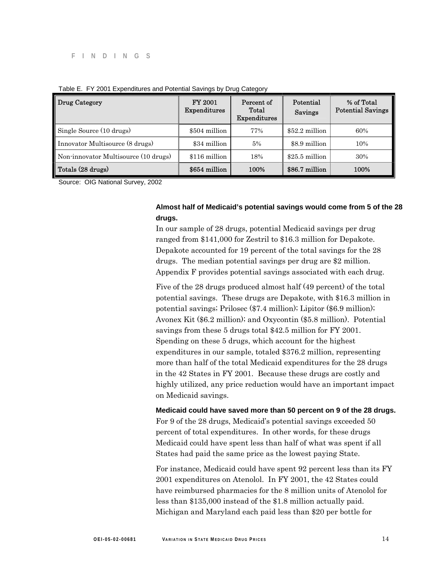| Drug Category                        | <b>FY 2001</b><br>Expenditures | Percent of<br>Total<br><b>Expenditures</b> | Potential<br>Savings | % of Total<br><b>Potential Savings</b> |
|--------------------------------------|--------------------------------|--------------------------------------------|----------------------|----------------------------------------|
| Single Source (10 drugs)             | \$504 million                  | 77%                                        | $$52.2$ million      | 60%                                    |
| Innovator Multisource (8 drugs)      | \$34 million                   | 5%                                         | \$8.9 million        | 10%                                    |
| Non-innovator Multisource (10 drugs) | \$116 million                  | 18%                                        | $$25.5$ million      | 30%                                    |
| Totals (28 drugs)                    | \$654 million                  | 100%                                       | \$86.7 million       | 100%                                   |

#### Table E. FY 2001 Expenditures and Potential Savings by Drug Category

Source: OIG National Survey, 2002

#### **Almost half of Medicaid's potential savings would come from 5 of the 28 drugs.**

In our sample of 28 drugs, potential Medicaid savings per drug ranged from \$141,000 for Zestril to \$16.3 million for Depakote. Depakote accounted for 19 percent of the total savings for the 28 drugs. The median potential savings per drug are \$2 million. Appendix F provides potential savings associated with each drug.

Five of the 28 drugs produced almost half (49 percent) of the total potential savings. These drugs are Depakote, with \$16.3 million in potential savings; Prilosec (\$7.4 million); Lipitor (\$6.9 million); Avonex Kit (\$6.2 million); and Oxycontin (\$5.8 million). Potential savings from these 5 drugs total \$42.5 million for FY 2001. Spending on these 5 drugs, which account for the highest expenditures in our sample, totaled \$376.2 million, representing more than half of the total Medicaid expenditures for the 28 drugs in the 42 States in FY 2001. Because these drugs are costly and highly utilized, any price reduction would have an important impact on Medicaid savings.

**Medicaid could have saved more than 50 percent on 9 of the 28 drugs.**  For 9 of the 28 drugs, Medicaid's potential savings exceeded 50 percent of total expenditures. In other words, for these drugs Medicaid could have spent less than half of what was spent if all States had paid the same price as the lowest paying State.

For instance, Medicaid could have spent 92 percent less than its FY 2001 expenditures on Atenolol. In FY 2001, the 42 States could have reimbursed pharmacies for the 8 million units of Atenolol for less than \$135,000 instead of the \$1.8 million actually paid. Michigan and Maryland each paid less than \$20 per bottle for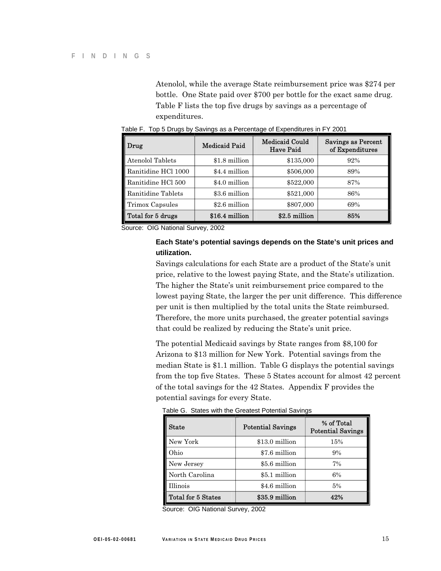Atenolol, while the average State reimbursement price was \$274 per bottle. One State paid over \$700 per bottle for the exact same drug. Table F lists the top five drugs by savings as a percentage of expenditures.

| $\ $ Drug              | <b>Medicaid Paid</b> | <b>Medicaid Could</b><br><b>Have Paid</b> | Savings as Percent<br>of Expenditures |
|------------------------|----------------------|-------------------------------------------|---------------------------------------|
| Atenolol Tablets       | \$1.8 million        | \$135,000                                 | 92%                                   |
| Ranitidine HCl 1000    | \$4.4 million        | \$506,000                                 | 89%                                   |
| Ranitidine HCl 500     | \$4.0 million        | \$522,000                                 | 87%                                   |
| Ranitidine Tablets     | \$3.6 million        | \$521,000                                 | 86%                                   |
| <b>Trimox Capsules</b> | \$2.6 million        | \$807,000                                 | 69%                                   |
| Total for 5 drugs      | \$16.4 million       | \$2.5 million                             | 85%                                   |

Table F. Top 5 Drugs by Savings as a Percentage of Expenditures in FY 2001

Source: OIG National Survey, 2002

#### **Each State's potential savings depends on the State's unit prices and utilization.**

Savings calculations for each State are a product of the State's unit price, relative to the lowest paying State, and the State's utilization. The higher the State's unit reimbursement price compared to the lowest paying State, the larger the per unit difference. This difference per unit is then multiplied by the total units the State reimbursed. Therefore, the more units purchased, the greater potential savings that could be realized by reducing the State's unit price.

The potential Medicaid savings by State ranges from \$8,100 for Arizona to \$13 million for New York. Potential savings from the median State is \$1.1 million. Table G displays the potential savings from the top five States. These 5 States account for almost 42 percent of the total savings for the 42 States. Appendix F provides the potential savings for every State.

| <b>State</b>       | <b>Potential Savings</b> | % of Total<br><b>Potential Savings</b> |
|--------------------|--------------------------|----------------------------------------|
| New York           | \$13.0 million           | 15%                                    |
| Ohio               | \$7.6 million            | 9%                                     |
| New Jersey         | \$5.6 million            | 7%                                     |
| North Carolina     | \$5.1 million            | 6%                                     |
| <b>Illinois</b>    | \$4.6 million            | 5%                                     |
| Total for 5 States | \$35.9 million           | 42%                                    |

Table G. States with the Greatest Potential Savings

Source: OIG National Survey, 2002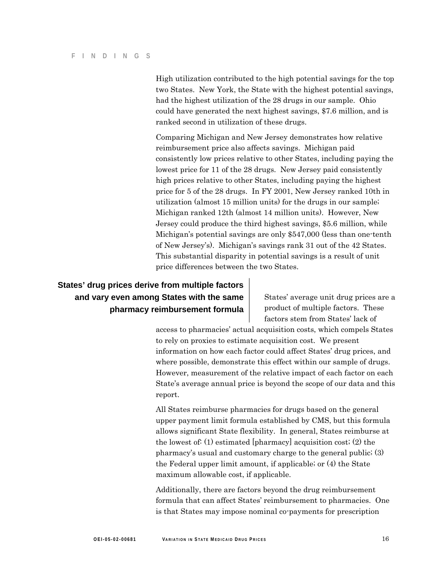High utilization contributed to the high potential savings for the top two States. New York, the State with the highest potential savings, had the highest utilization of the 28 drugs in our sample. Ohio could have generated the next highest savings, \$7.6 million, and is ranked second in utilization of these drugs.

Comparing Michigan and New Jersey demonstrates how relative reimbursement price also affects savings. Michigan paid consistently low prices relative to other States, including paying the lowest price for 11 of the 28 drugs. New Jersey paid consistently high prices relative to other States, including paying the highest price for 5 of the 28 drugs. In FY 2001, New Jersey ranked 10th in utilization (almost 15 million units) for the drugs in our sample; Michigan ranked 12th (almost 14 million units). However, New Jersey could produce the third highest savings, \$5.6 million, while Michigan's potential savings are only \$547,000 (less than one-tenth of New Jersey's). Michigan's savings rank 31 out of the 42 States. This substantial disparity in potential savings is a result of unit price differences between the two States.

### **States' drug prices derive from multiple factors and vary even among States with the same** | States' average unit drug prices are a **pharmacy reimbursement formula product of multiple factors. These**

factors stem from States' lack of

access to pharmacies' actual acquisition costs, which compels States to rely on proxies to estimate acquisition cost. We present information on how each factor could affect States' drug prices, and where possible, demonstrate this effect within our sample of drugs. However, measurement of the relative impact of each factor on each State's average annual price is beyond the scope of our data and this report.

All States reimburse pharmacies for drugs based on the general upper payment limit formula established by CMS, but this formula allows significant State flexibility. In general, States reimburse at the lowest of: (1) estimated [pharmacy] acquisition cost; (2) the pharmacy's usual and customary charge to the general public; (3) the Federal upper limit amount, if applicable; or (4) the State maximum allowable cost, if applicable.

Additionally, there are factors beyond the drug reimbursement formula that can affect States' reimbursement to pharmacies. One is that States may impose nominal co-payments for prescription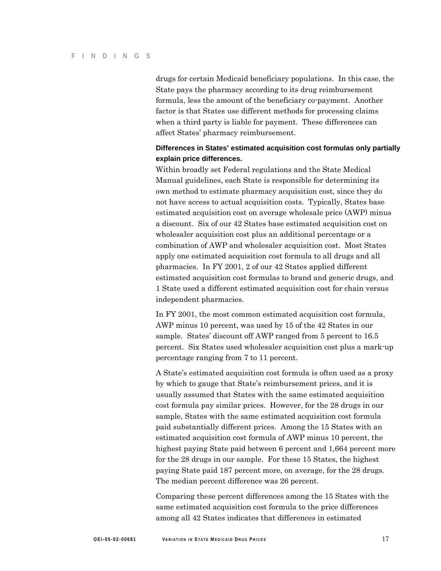drugs for certain Medicaid beneficiary populations. In this case, the State pays the pharmacy according to its drug reimbursement formula, less the amount of the beneficiary co-payment. Another factor is that States use different methods for processing claims when a third party is liable for payment. These differences can affect States' pharmacy reimbursement.

### **Differences in States' estimated acquisition cost formulas only partially explain price differences.**

Within broadly set Federal regulations and the State Medical Manual guidelines, each State is responsible for determining its own method to estimate pharmacy acquisition cost, since they do not have access to actual acquisition costs. Typically, States base estimated acquisition cost on average wholesale price (AWP) minus a discount. Six of our 42 States base estimated acquisition cost on wholesaler acquisition cost plus an additional percentage or a combination of AWP and wholesaler acquisition cost. Most States apply one estimated acquisition cost formula to all drugs and all pharmacies. In FY 2001, 2 of our 42 States applied different estimated acquisition cost formulas to brand and generic drugs, and 1 State used a different estimated acquisition cost for chain versus independent pharmacies.

In FY 2001, the most common estimated acquisition cost formula, AWP minus 10 percent, was used by 15 of the 42 States in our sample. States' discount off AWP ranged from 5 percent to 16.5 percent. Six States used wholesaler acquisition cost plus a mark-up percentage ranging from 7 to 11 percent.

A State's estimated acquisition cost formula is often used as a proxy by which to gauge that State's reimbursement prices, and it is usually assumed that States with the same estimated acquisition cost formula pay similar prices. However, for the 28 drugs in our sample, States with the same estimated acquisition cost formula paid substantially different prices. Among the 15 States with an estimated acquisition cost formula of AWP minus 10 percent, the highest paying State paid between 6 percent and 1,664 percent more for the 28 drugs in our sample. For these 15 States, the highest paying State paid 187 percent more, on average, for the 28 drugs. The median percent difference was 26 percent.

Comparing these percent differences among the 15 States with the same estimated acquisition cost formula to the price differences among all 42 States indicates that differences in estimated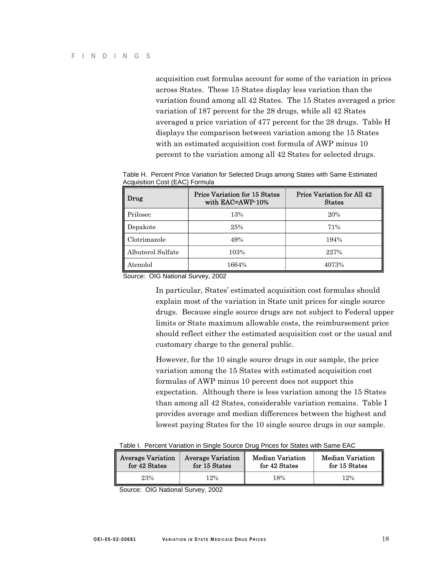acquisition cost formulas account for some of the variation in prices across States. These 15 States display less variation than the variation found among all 42 States. The 15 States averaged a price variation of 187 percent for the 28 drugs, while all 42 States averaged a price variation of 477 percent for the 28 drugs. Table H displays the comparison between variation among the 15 States with an estimated acquisition cost formula of AWP minus 10 percent to the variation among all 42 States for selected drugs.

| Drug              | Price Variation for 15 States<br>with EAC=AWP-10% | Price Variation for All 42<br><b>States</b> |
|-------------------|---------------------------------------------------|---------------------------------------------|
| Prilosec          | 13%                                               | 20%                                         |
| Depakote          | 25%                                               | 71%                                         |
| Clotrimazole      | 49%                                               | 194%                                        |
| Albuterol Sulfate | 103%                                              | 227%                                        |
| Atenolol          | 1664%                                             | 4073%                                       |

Table H. Percent Price Variation for Selected Drugs among States with Same Estimated Acquisition Cost (EAC) Formula

Source: OIG National Survey, 2002

In particular, States' estimated acquisition cost formulas should explain most of the variation in State unit prices for single source drugs. Because single source drugs are not subject to Federal upper limits or State maximum allowable costs, the reimbursement price should reflect either the estimated acquisition cost or the usual and customary charge to the general public.

However, for the 10 single source drugs in our sample, the price variation among the 15 States with estimated acquisition cost formulas of AWP minus 10 percent does not support this expectation. Although there is less variation among the 15 States than among all 42 States, considerable variation remains. Table I provides average and median differences between the highest and lowest paying States for the 10 single source drugs in our sample.

Table I. Percent Variation in Single Source Drug Prices for States with Same EAC

| Average Variation | <b>Average Variation</b> | Median Variation | <b>Median Variation</b> |
|-------------------|--------------------------|------------------|-------------------------|
| for 42 States     | for 15 States            | for 42 States    | for 15 States           |
| 23%               | 12%                      | 18%              | 12%                     |

Source: OIG National Survey, 2002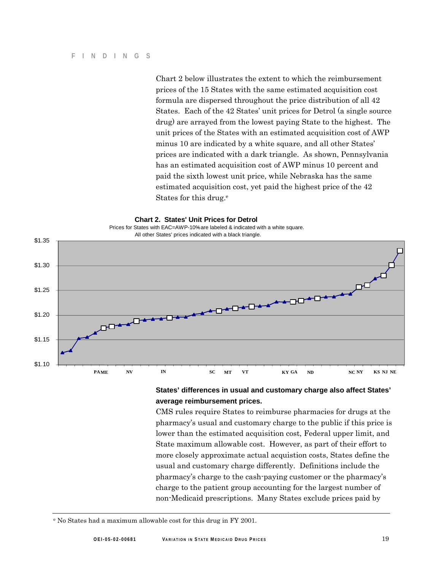Chart 2 below illustrates the extent to which the reimbursement prices of the 15 States with the same estimated acquisition cost formula are dispersed throughout the price distribution of all 42 States. Each of the 42 States' unit prices for Detrol (a single source drug) are arrayed from the lowest paying State to the highest. The unit prices of the States with an estimated acquisition cost of AWP minus 10 are indicated by a white square, and all other States' prices are indicated with a dark triangle. As shown, Pennsylvania has an estimated acquisition cost of AWP minus 10 percent and paid the sixth lowest unit price, while Nebraska has the same estimated acquisition cost, yet paid the highest price of the 42 States for this drug.<sup>e</sup>



#### **States' differences in usual and customary charge also affect States' average reimbursement prices.**

CMS rules require States to reimburse pharmacies for drugs at the pharmacy's usual and customary charge to the public if this price is lower than the estimated acquisition cost, Federal upper limit, and State maximum allowable cost. However, as part of their effort to more closely approximate actual acquistion costs, States define the usual and customary charge differently. Definitions include the pharmacy's charge to the cash-paying customer or the pharmacy's charge to the patient group accounting for the largest number of non-Medicaid prescriptions. Many States exclude prices paid by

e No States had a maximum allowable cost for this drug in FY 2001.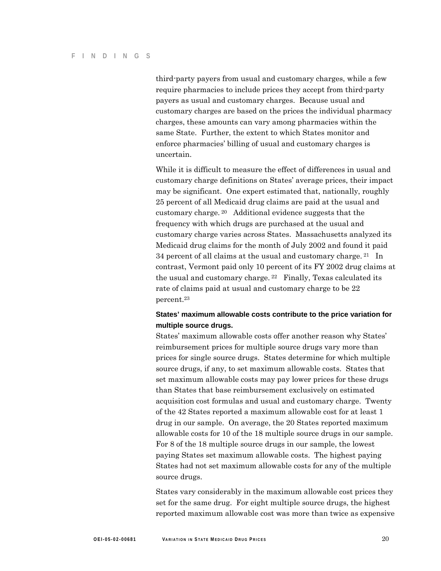third-party payers from usual and customary charges, while a few require pharmacies to include prices they accept from third-party payers as usual and customary charges. Because usual and customary charges are based on the prices the individual pharmacy charges, these amounts can vary among pharmacies within the same State. Further, the extent to which States monitor and enforce pharmacies' billing of usual and customary charges is uncertain.

While it is difficult to measure the effect of differences in usual and customary charge definitions on States' average prices, their impact may be significant. One expert estimated that, nationally, roughly 25 percent of all Medicaid drug claims are paid at the usual and customary charge. 20 Additional evidence suggests that the frequency with which drugs are purchased at the usual and customary charge varies across States. Massachusetts analyzed its Medicaid drug claims for the month of July 2002 and found it paid 34 percent of all claims at the usual and customary charge. 21 In contrast, Vermont paid only 10 percent of its FY 2002 drug claims at the usual and customary charge. 22 Finally, Texas calculated its rate of claims paid at usual and customary charge to be 22 percent.23

### **States' maximum allowable costs contribute to the price variation for multiple source drugs.**

States' maximum allowable costs offer another reason why States' reimbursement prices for multiple source drugs vary more than prices for single source drugs. States determine for which multiple source drugs, if any, to set maximum allowable costs. States that set maximum allowable costs may pay lower prices for these drugs than States that base reimbursement exclusively on estimated acquisition cost formulas and usual and customary charge. Twenty of the 42 States reported a maximum allowable cost for at least 1 drug in our sample. On average, the 20 States reported maximum allowable costs for 10 of the 18 multiple source drugs in our sample. For 8 of the 18 multiple source drugs in our sample, the lowest paying States set maximum allowable costs. The highest paying States had not set maximum allowable costs for any of the multiple source drugs.

States vary considerably in the maximum allowable cost prices they set for the same drug. For eight multiple source drugs, the highest reported maximum allowable cost was more than twice as expensive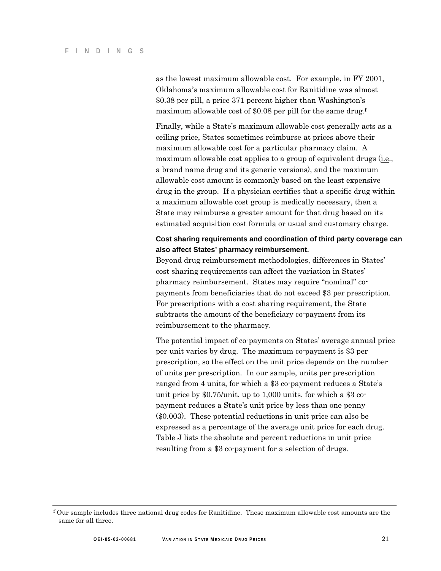as the lowest maximum allowable cost. For example, in FY 2001, Oklahoma's maximum allowable cost for Ranitidine was almost \$0.38 per pill, a price 371 percent higher than Washington's maximum allowable cost of \$0.08 per pill for the same drug.<sup>f</sup>

Finally, while a State's maximum allowable cost generally acts as a ceiling price, States sometimes reimburse at prices above their maximum allowable cost for a particular pharmacy claim. A maximum allowable cost applies to a group of equivalent drugs (i.e., a brand name drug and its generic versions), and the maximum allowable cost amount is commonly based on the least expensive drug in the group. If a physician certifies that a specific drug within a maximum allowable cost group is medically necessary, then a State may reimburse a greater amount for that drug based on its estimated acquisition cost formula or usual and customary charge.

### **Cost sharing requirements and coordination of third party coverage can also affect States' pharmacy reimbursement.**

Beyond drug reimbursement methodologies, differences in States' cost sharing requirements can affect the variation in States' pharmacy reimbursement. States may require "nominal" copayments from beneficiaries that do not exceed \$3 per prescription. For prescriptions with a cost sharing requirement, the State subtracts the amount of the beneficiary co-payment from its reimbursement to the pharmacy.

The potential impact of co-payments on States' average annual price per unit varies by drug. The maximum co-payment is \$3 per prescription, so the effect on the unit price depends on the number of units per prescription. In our sample, units per prescription ranged from 4 units, for which a \$3 co-payment reduces a State's unit price by \$0.75/unit, up to 1,000 units, for which a \$3 copayment reduces a State's unit price by less than one penny (\$0.003). These potential reductions in unit price can also be expressed as a percentage of the average unit price for each drug. Table J lists the absolute and percent reductions in unit price resulting from a \$3 co-payment for a selection of drugs.

 $\rm ^f$  Our sample includes three national drug codes for Ranitidine. These maximum allowable cost amounts are the same for all three.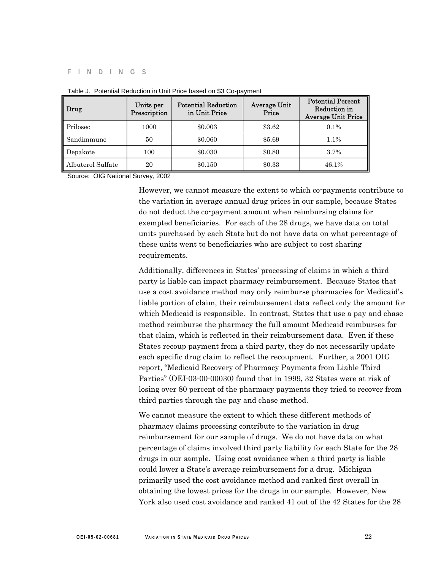#### **FINDINGS**

| Drug              | Units per<br>Prescription | <b>Potential Reduction</b><br>in Unit Price | <b>Average Unit</b><br>Price | <b>Potential Percent</b><br>Reduction in<br><b>Average Unit Price</b> |
|-------------------|---------------------------|---------------------------------------------|------------------------------|-----------------------------------------------------------------------|
| Prilosec          | 1000                      | \$0.003                                     | \$3.62                       | $0.1\%$                                                               |
| Sandimmune        | 50                        | \$0.060                                     | \$5.69                       | $1.1\%$                                                               |
| Depakote          | 100                       | \$0.030                                     | \$0.80                       | $3.7\%$                                                               |
| Albuterol Sulfate | 20                        | \$0.150                                     | \$0.33                       | 46.1%                                                                 |

Table J. Potential Reduction in Unit Price based on \$3 Co-payment

Source: OIG National Survey, 2002

However, we cannot measure the extent to which co-payments contribute to the variation in average annual drug prices in our sample, because States do not deduct the co-payment amount when reimbursing claims for exempted beneficiaries. For each of the 28 drugs, we have data on total units purchased by each State but do not have data on what percentage of these units went to beneficiaries who are subject to cost sharing requirements.

Additionally, differences in States' processing of claims in which a third party is liable can impact pharmacy reimbursement. Because States that use a cost avoidance method may only reimburse pharmacies for Medicaid's liable portion of claim, their reimbursement data reflect only the amount for which Medicaid is responsible. In contrast, States that use a pay and chase method reimburse the pharmacy the full amount Medicaid reimburses for that claim, which is reflected in their reimbursement data. Even if these States recoup payment from a third party, they do not necessarily update each specific drug claim to reflect the recoupment. Further, a 2001 OIG report, "Medicaid Recovery of Pharmacy Payments from Liable Third Parties" (OEI-03-00-00030) found that in 1999, 32 States were at risk of losing over 80 percent of the pharmacy payments they tried to recover from third parties through the pay and chase method.

We cannot measure the extent to which these different methods of pharmacy claims processing contribute to the variation in drug reimbursement for our sample of drugs. We do not have data on what percentage of claims involved third party liability for each State for the 28 drugs in our sample. Using cost avoidance when a third party is liable could lower a State's average reimbursement for a drug. Michigan primarily used the cost avoidance method and ranked first overall in obtaining the lowest prices for the drugs in our sample. However, New York also used cost avoidance and ranked 41 out of the 42 States for the 28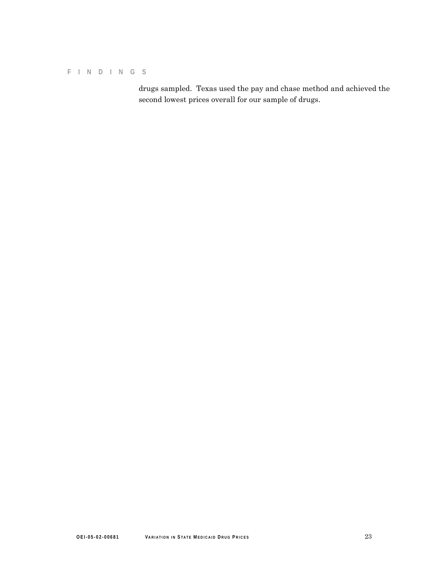#### **FINDINGS**

drugs sampled. Texas used the pay and chase method and achieved the second lowest prices overall for our sample of drugs.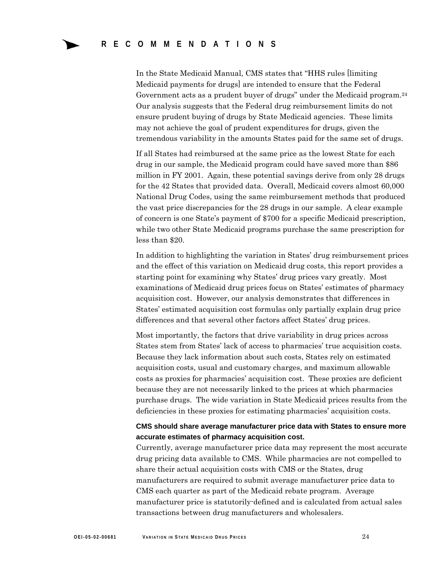In the State Medicaid Manual, CMS states that "HHS rules [limiting Medicaid payments for drugs] are intended to ensure that the Federal Government acts as a prudent buyer of drugs" under the Medicaid program.24 Our analysis suggests that the Federal drug reimbursement limits do not ensure prudent buying of drugs by State Medicaid agencies. These limits may not achieve the goal of prudent expenditures for drugs, given the tremendous variability in the amounts States paid for the same set of drugs.

If all States had reimbursed at the same price as the lowest State for each drug in our sample, the Medicaid program could have saved more than \$86 million in FY 2001. Again, these potential savings derive from only 28 drugs for the 42 States that provided data. Overall, Medicaid covers almost 60,000 National Drug Codes, using the same reimbursement methods that produced the vast price discrepancies for the 28 drugs in our sample. A clear example of concern is one State's payment of \$700 for a specific Medicaid prescription, while two other State Medicaid programs purchase the same prescription for less than \$20.

In addition to highlighting the variation in States' drug reimbursement prices and the effect of this variation on Medicaid drug costs, this report provides a starting point for examining why States' drug prices vary greatly. Most examinations of Medicaid drug prices focus on States' estimates of pharmacy acquisition cost. However, our analysis demonstrates that differences in States' estimated acquisition cost formulas only partially explain drug price differences and that several other factors affect States' drug prices.

Most importantly, the factors that drive variability in drug prices across States stem from States' lack of access to pharmacies' true acquisition costs. Because they lack information about such costs, States rely on estimated acquisition costs, usual and customary charges, and maximum allowable costs as proxies for pharmacies' acquisition cost. These proxies are deficient because they are not necessarily linked to the prices at which pharmacies purchase drugs. The wide variation in State Medicaid prices results from the deficiencies in these proxies for estimating pharmacies' acquisition costs.

#### **CMS should share average manufacturer price data with States to ensure more accurate estimates of pharmacy acquisition cost.**

Currently, average manufacturer price data may represent the most accurate drug pricing data available to CMS. While pharmacies are not compelled to share their actual acquisition costs with CMS or the States, drug manufacturers are required to submit average manufacturer price data to CMS each quarter as part of the Medicaid rebate program. Average manufacturer price is statutorily-defined and is calculated from actual sales transactions between drug manufacturers and wholesalers.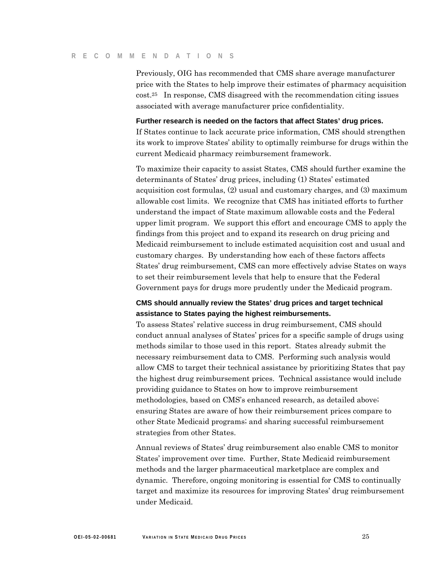#### **RECOMMENDATIONS**

Previously, OIG has recommended that CMS share average manufacturer price with the States to help improve their estimates of pharmacy acquisition cost.25 In response, CMS disagreed with the recommendation citing issues associated with average manufacturer price confidentiality.

#### **Further research is needed on the factors that affect States' drug prices.**

If States continue to lack accurate price information, CMS should strengthen its work to improve States' ability to optimally reimburse for drugs within the current Medicaid pharmacy reimbursement framework.

To maximize their capacity to assist States, CMS should further examine the determinants of States' drug prices, including (1) States' estimated acquisition cost formulas, (2) usual and customary charges, and (3) maximum allowable cost limits. We recognize that CMS has initiated efforts to further understand the impact of State maximum allowable costs and the Federal upper limit program. We support this effort and encourage CMS to apply the findings from this project and to expand its research on drug pricing and Medicaid reimbursement to include estimated acquisition cost and usual and customary charges. By understanding how each of these factors affects States' drug reimbursement, CMS can more effectively advise States on ways to set their reimbursement levels that help to ensure that the Federal Government pays for drugs more prudently under the Medicaid program.

### **CMS should annually review the States' drug prices and target technical assistance to States paying the highest reimbursements.**

To assess States' relative success in drug reimbursement, CMS should conduct annual analyses of States' prices for a specific sample of drugs using methods similar to those used in this report. States already submit the necessary reimbursement data to CMS. Performing such analysis would allow CMS to target their technical assistance by prioritizing States that pay the highest drug reimbursement prices. Technical assistance would include providing guidance to States on how to improve reimbursement methodologies, based on CMS's enhanced research, as detailed above; ensuring States are aware of how their reimbursement prices compare to other State Medicaid programs; and sharing successful reimbursement strategies from other States.

Annual reviews of States' drug reimbursement also enable CMS to monitor States' improvement over time. Further, State Medicaid reimbursement methods and the larger pharmaceutical marketplace are complex and dynamic. Therefore, ongoing monitoring is essential for CMS to continually target and maximize its resources for improving States' drug reimbursement under Medicaid.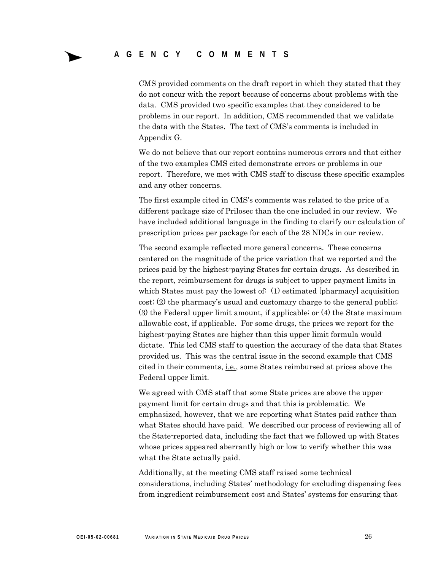CMS provided comments on the draft report in which they stated that they do not concur with the report because of concerns about problems with the data. CMS provided two specific examples that they considered to be problems in our report. In addition, CMS recommended that we validate the data with the States. The text of CMS's comments is included in Appendix G.

We do not believe that our report contains numerous errors and that either of the two examples CMS cited demonstrate errors or problems in our report. Therefore, we met with CMS staff to discuss these specific examples and any other concerns.

The first example cited in CMS's comments was related to the price of a different package size of Prilosec than the one included in our review. We have included additional language in the finding to clarify our calculation of prescription prices per package for each of the 28 NDCs in our review.

The second example reflected more general concerns. These concerns centered on the magnitude of the price variation that we reported and the prices paid by the highest-paying States for certain drugs. As described in the report, reimbursement for drugs is subject to upper payment limits in which States must pay the lowest of: (1) estimated [pharmacy] acquisition cost; (2) the pharmacy's usual and customary charge to the general public; (3) the Federal upper limit amount, if applicable; or (4) the State maximum allowable cost, if applicable. For some drugs, the prices we report for the highest-paying States are higher than this upper limit formula would dictate. This led CMS staff to question the accuracy of the data that States provided us. This was the central issue in the second example that CMS cited in their comments, i.e., some States reimbursed at prices above the Federal upper limit.

We agreed with CMS staff that some State prices are above the upper payment limit for certain drugs and that this is problematic. We emphasized, however, that we are reporting what States paid rather than what States should have paid. We described our process of reviewing all of the State-reported data, including the fact that we followed up with States whose prices appeared aberrantly high or low to verify whether this was what the State actually paid.

Additionally, at the meeting CMS staff raised some technical considerations, including States' methodology for excluding dispensing fees from ingredient reimbursement cost and States' systems for ensuring that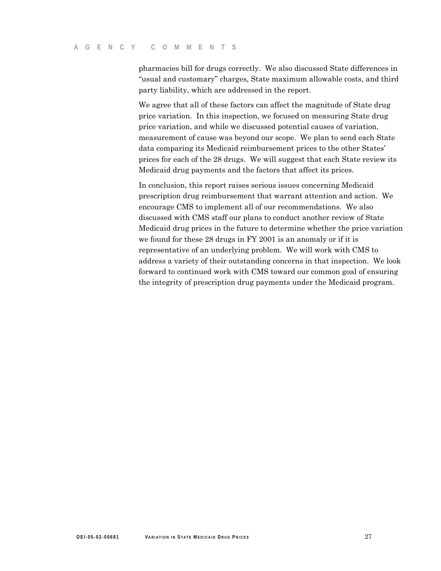pharmacies bill for drugs correctly. We also discussed State differences in "usual and customary" charges, State maximum allowable costs, and third party liability, which are addressed in the report.

We agree that all of these factors can affect the magnitude of State drug price variation. In this inspection, we focused on measuring State drug price variation, and while we discussed potential causes of variation, measurement of cause was beyond our scope. We plan to send each State data comparing its Medicaid reimbursement prices to the other States' prices for each of the 28 drugs. We will suggest that each State review its Medicaid drug payments and the factors that affect its prices.

In conclusion, this report raises serious issues concerning Medicaid prescription drug reimbursement that warrant attention and action. We encourage CMS to implement all of our recommendations. We also discussed with CMS staff our plans to conduct another review of State Medicaid drug prices in the future to determine whether the price variation we found for these 28 drugs in FY 2001 is an anomaly or if it is representative of an underlying problem. We will work with CMS to address a variety of their outstanding concerns in that inspection. We look forward to continued work with CMS toward our common goal of ensuring the integrity of prescription drug payments under the Medicaid program.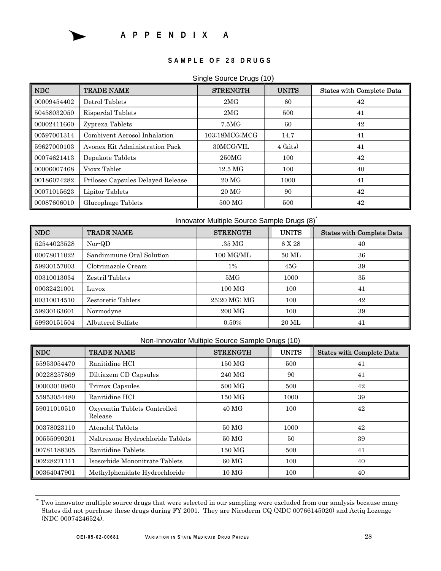

### **S A M P L E O F 2 8 D R U G S**

#### Single Source Drugs (10)

| <b>NDC</b>  | <b>TRADE NAME</b>                 | <b>STRENGTH</b>     | <b>UNITS</b> | <b>States with Complete Data</b> |
|-------------|-----------------------------------|---------------------|--------------|----------------------------------|
| 00009454402 | Detrol Tablets                    | 2MG                 | 60           | 42                               |
| 50458032050 | Risperdal Tablets                 | 2MG                 | 500          | 41                               |
| 00002411660 | Zyprexa Tablets                   | 7.5MG               | 60           | 42                               |
| 00597001314 | Combivent Aerosol Inhalation      | 103;18MCG;MCG       | 14.7         | 41                               |
| 59627000103 | Avonex Kit Administration Pack    | 30MCG/VIL           | $4$ (kits)   | 41                               |
| 00074621413 | Depakote Tablets                  | 250MG               | 100          | 42                               |
| 00006007468 | Vioxx Tablet                      | $12.5\,\mathrm{MG}$ | 100          | 40                               |
| 00186074282 | Prilosec Capsules Delayed Release | 20 <sub>MG</sub>    | 1000         | 41                               |
| 00071015623 | Lipitor Tablets                   | 20 <sub>MG</sub>    | 90           | 42                               |
| 00087606010 | Glucophage Tablets                | 500 MG              | 500          | 42                               |

|             |                          | Innovator Multiple Source Sample Drugs (8) |              |                                  |
|-------------|--------------------------|--------------------------------------------|--------------|----------------------------------|
| NDC         | <b>TRADE NAME</b>        | <b>STRENGTH</b>                            | <b>UNITS</b> | <b>States with Complete Data</b> |
| 52544023528 | Nor-QD                   | .35 MG                                     | 6 X 28       | 40                               |
| 00078011022 | Sandimmune Oral Solution | 100 MG/ML                                  | 50 ML        | 36                               |
| 59930157003 | Clotrimazole Cream       | $1\%$                                      | 45G          | 39                               |
| 00310013034 | Zestril Tablets          | 5MG                                        | 1000         | 35                               |
| 00032421001 | Luvox                    | $100 \text{ MG}$                           | 100          | 41                               |
| 00310014510 | Zestoretic Tablets       | 25;20 MG; MG                               | 100          | 42                               |
| 59930163601 | Normodyne                | 200 MG                                     | 100          | 39                               |
| 59930151504 | Albuterol Sulfate        | $0.50\%$                                   | 20 ML        | 41                               |

#### Non-Innovator Multiple Source Sample Drugs (10)

| <b>NDC</b>  | <b>TRADE NAME</b>                       | <b>STRENGTH</b>  | <b>UNITS</b> | <b>States with Complete Data</b> |
|-------------|-----------------------------------------|------------------|--------------|----------------------------------|
| 55953054470 | Ranitidine HCl                          | 150 MG           | 500          | 41                               |
| 00228257809 | Diltiazem CD Capsules                   | 240 MG           | 90           | 41                               |
| 00003010960 | Trimox Capsules                         | 500 MG           | 500          | 42                               |
| 55953054480 | Ranitidine HCl                          | 150 MG           | 1000         | 39                               |
| 59011010510 | Oxycontin Tablets Controlled<br>Release | 40 MG            | 100          | 42                               |
| 00378023110 | Atenolol Tablets                        | 50 MG            | 1000         | 42                               |
| 00555090201 | Naltrexone Hydrochloride Tablets        | 50 <sub>MG</sub> | 50           | 39                               |
| 00781188305 | Ranitidine Tablets                      | 150 MG           | 500          | 41                               |
| 00228271111 | Isosorbide Mononitrate Tablets          | 60 MG            | 100          | 40                               |
| 00364047901 | Methylphenidate Hydrochloride           | 10 <sub>MG</sub> | 100          | 40                               |

<sup>\*</sup> Two innovator multiple source drugs that were selected in our sampling were excluded from our analysis because many States did not purchase these drugs during FY 2001. They are Nicoderm CQ (NDC 00766145020) and Actiq Lozenge (NDC 00074246524).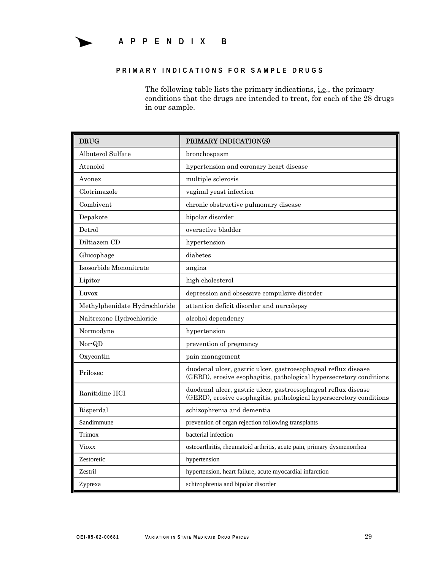### **APPENDIX B**

#### **PRIMARY INDICATIONS FOR SAMPLE DRUGS**

The following table lists the primary indications, *i.e.*, the primary conditions that the drugs are intended to treat, for each of the 28 drugs in our sample.

| <b>DRUG</b>                   | PRIMARY INDICATION(S)                                                                                                                 |
|-------------------------------|---------------------------------------------------------------------------------------------------------------------------------------|
| Albuterol Sulfate             | bronchospasm                                                                                                                          |
| Atenolol                      | hypertension and coronary heart disease                                                                                               |
| Avonex                        | multiple sclerosis                                                                                                                    |
| Clotrimazole                  | vaginal yeast infection                                                                                                               |
| Combivent                     | chronic obstructive pulmonary disease                                                                                                 |
| Depakote                      | bipolar disorder                                                                                                                      |
| Detrol                        | overactive bladder                                                                                                                    |
| Diltiazem CD                  | hypertension                                                                                                                          |
| Glucophage                    | diabetes                                                                                                                              |
| Isosorbide Mononitrate        | angina                                                                                                                                |
| Lipitor                       | high cholesterol                                                                                                                      |
| Luvox                         | depression and obsessive compulsive disorder                                                                                          |
| Methylphenidate Hydrochloride | attention deficit disorder and narcolepsy                                                                                             |
| Naltrexone Hydrochloride      | alcohol dependency                                                                                                                    |
| Normodyne                     | hypertension                                                                                                                          |
| Nor-QD                        | prevention of pregnancy                                                                                                               |
| Oxycontin                     | pain management                                                                                                                       |
| Prilosec                      | duodenal ulcer, gastric ulcer, gastroesophageal reflux disease<br>(GERD), erosive esophagitis, pathological hypersecretory conditions |
| Ranitidine HCI                | duodenal ulcer, gastric ulcer, gastroesophageal reflux disease<br>(GERD), erosive esophagitis, pathological hypersecretory conditions |
| Risperdal                     | schizophrenia and dementia                                                                                                            |
| Sandimmune                    | prevention of organ rejection following transplants                                                                                   |
| Trimox                        | bacterial infection                                                                                                                   |
| <b>Vioxx</b>                  | osteoarthritis, rheumatoid arthritis, acute pain, primary dysmenorrhea                                                                |
| Zestoretic                    | hypertension                                                                                                                          |
| Zestril                       | hypertension, heart failure, acute myocardial infarction                                                                              |
| Zyprexa                       | schizophrenia and bipolar disorder                                                                                                    |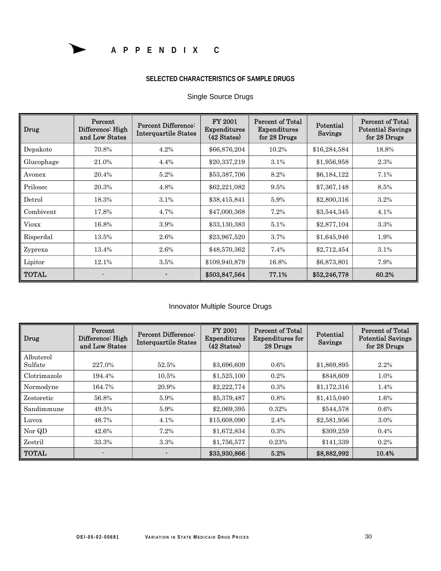

### **SELECTED CHARACTERISTICS OF SAMPLE DRUGS**

| Drug         | Percent<br>Difference: High<br>and Low States | <b>Percent Difference:</b><br><b>Interquartile States</b> | FY 2001<br>Expenditures<br>(42 States) | Percent of Total<br>Expenditures<br>for 28 Drugs | Potential<br>Savings | <b>Percent of Total</b><br><b>Potential Savings</b><br>for 28 Drugs |
|--------------|-----------------------------------------------|-----------------------------------------------------------|----------------------------------------|--------------------------------------------------|----------------------|---------------------------------------------------------------------|
| Depakote     | 70.8%                                         | 4.2%                                                      | \$66,876,204                           | 10.2%                                            | \$16,284,584         | 18.8%                                                               |
| Glucophage   | 21.0%                                         | 4.4%                                                      | \$20,337,219                           | 3.1%                                             | \$1,956,958          | 2.3%                                                                |
| Avonex       | 20.4%                                         | 5.2%                                                      | \$53,387,706                           | 8.2%                                             | \$6,184,122          | 7.1%                                                                |
| Prilosec     | 20.3%                                         | 4.8%                                                      | \$62,221,082                           | 9.5%                                             | \$7,367,148          | 8.5%                                                                |
| Detrol       | 18.3%                                         | 3.1%                                                      | \$38,415,841                           | 5.9%                                             | \$2,800,316          | 3.2%                                                                |
| Combivent    | 17.8%                                         | 4.7%                                                      | \$47,000,368                           | 7.2%                                             | \$3,544,345          | 4.1%                                                                |
| <b>Vioxx</b> | 16.8%                                         | 3.9%                                                      | \$33,130,383                           | 5.1%                                             | \$2,877,104          | 3.3%                                                                |
| Risperdal    | 13.5%                                         | 2.6%                                                      | \$23,967,520                           | 3.7%                                             | \$1,645,946          | 1.9%                                                                |
| Zyprexa      | 13.4%                                         | 2.6%                                                      | \$48,570,362                           | 7.4%                                             | \$2,712,454          | 3.1%                                                                |
| Lipitor      | 12.1%                                         | 3.5%                                                      | \$109,940,879                          | 16.8%                                            | \$6,873,801          | 7.9%                                                                |
| <b>TOTAL</b> |                                               |                                                           | \$503,847,564                          | 77.1%                                            | \$52,246,778         | 60.2%                                                               |

### Single Source Drugs

### Innovator Multiple Source Drugs

| Drug                 | Percent<br>Difference: High<br>and Low States | Percent Difference:<br><b>Interquartile States</b> | FY 2001<br><b>Expenditures</b><br>$(42 \text{ States})$ | Percent of Total<br><b>Expenditures for</b><br>28 Drugs | Potential<br>Savings | Percent of Total<br><b>Potential Savings</b><br>for 28 Drugs |
|----------------------|-----------------------------------------------|----------------------------------------------------|---------------------------------------------------------|---------------------------------------------------------|----------------------|--------------------------------------------------------------|
| Albuterol<br>Sulfate | 227.0%                                        | 52.5%                                              | \$3,696,609                                             | 0.6%                                                    | \$1,869,895          | 2.2%                                                         |
| Clotrimazole         | 194.4%                                        | 10.5%                                              | \$1,525,100                                             | 0.2%                                                    | \$848,609            | 1.0%                                                         |
| Normodyne            | 164.7%                                        | 20.9%                                              | \$2,222,774                                             | 0.3%                                                    | \$1,172,316          | 1.4%                                                         |
| Zestoretic           | 56.8%                                         | 5.9%                                               | \$5,379,487                                             | 0.8%                                                    | \$1,415,040          | 1.6%                                                         |
| Sandimmune           | 49.5%                                         | 5.9%                                               | \$2,069,395                                             | 0.32%                                                   | \$544,578            | 0.6%                                                         |
| Luvox                | 48.7%                                         | 4.1%                                               | \$15,608,090                                            | 2.4%                                                    | \$2,581,956          | 3.0%                                                         |
| Nor QD               | 42.6%                                         | 7.2%                                               | \$1,672,834                                             | 0.3%                                                    | \$309,259            | 0.4%                                                         |
| Zestril              | 33.3%                                         | 3.3%                                               | \$1,756,577                                             | 0.23%                                                   | \$141,339            | 0.2%                                                         |
| <b>TOTAL</b>         |                                               |                                                    | \$33,930,866                                            | 5.2%                                                    | \$8,882,992          | 10.4%                                                        |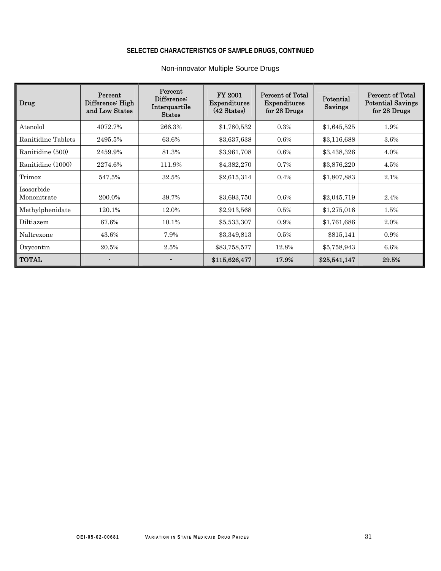### **SELECTED CHARACTERISTICS OF SAMPLE DRUGS, CONTINUED**

| Drug                      | Percent<br>Difference: High<br>and Low States | Percent<br>Difference:<br>Interquartile<br><b>States</b> | FY 2001<br><b>Expenditures</b><br>(42 States) | <b>Percent of Total</b><br><b>Expenditures</b><br>for 28 Drugs | Potential<br>Savings | <b>Percent of Total</b><br><b>Potential Savings</b><br>for 28 Drugs |
|---------------------------|-----------------------------------------------|----------------------------------------------------------|-----------------------------------------------|----------------------------------------------------------------|----------------------|---------------------------------------------------------------------|
| Atenolol                  | 4072.7%                                       | 266.3%                                                   | \$1,780,532                                   | 0.3%                                                           | \$1,645,525          | 1.9%                                                                |
| Ranitidine Tablets        | 2495.5%                                       | 63.6%                                                    | \$3,637,638                                   | 0.6%                                                           | \$3,116,688          | 3.6%                                                                |
| Ranitidine (500)          | 2459.9%                                       | 81.3%                                                    | \$3,961,708                                   | 0.6%                                                           | \$3,438,326          | 4.0%                                                                |
| Ranitidine (1000)         | 2274.6%                                       | 111.9%                                                   | \$4,382,270                                   | 0.7%                                                           | \$3,876,220          | 4.5%                                                                |
| Trimox                    | 547.5%                                        | 32.5%                                                    | \$2,615,314                                   | 0.4%                                                           | \$1,807,883          | 2.1%                                                                |
| Isosorbide<br>Mononitrate | 200.0%                                        | 39.7%                                                    | \$3,693,750                                   | 0.6%                                                           | \$2,045,719          | 2.4%                                                                |
| Methylphenidate           | 120.1%                                        | 12.0%                                                    | \$2,913,568                                   | 0.5%                                                           | \$1,275,016          | 1.5%                                                                |
| Diltiazem                 | 67.6%                                         | 10.1%                                                    | \$5,533,307                                   | 0.9%                                                           | \$1,761,686          | 2.0%                                                                |
| Naltrexone                | 43.6%                                         | 7.9%                                                     | \$3,349,813                                   | 0.5%                                                           | \$815,141            | 0.9%                                                                |
| Oxycontin                 | 20.5%                                         | 2.5%                                                     | \$83,758,577                                  | 12.8%                                                          | \$5,758,943          | 6.6%                                                                |
| TOTAL                     |                                               |                                                          | \$115,626,477                                 | 17.9%                                                          | \$25,541,147         | 29.5%                                                               |

### Non-innovator Multiple Source Drugs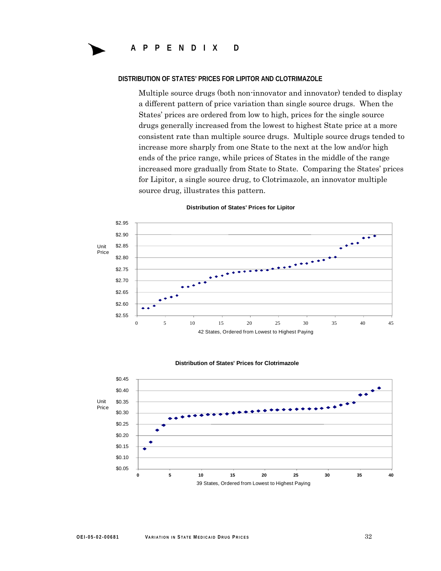#### **DISTRIBUTION OF STATES' PRICES FOR LIPITOR AND CLOTRIMAZOLE**

Multiple source drugs (both non-innovator and innovator) tended to display a different pattern of price variation than single source drugs. When the States' prices are ordered from low to high, prices for the single source drugs generally increased from the lowest to highest State price at a more consistent rate than multiple source drugs. Multiple source drugs tended to increase more sharply from one State to the next at the low and/or high ends of the price range, while prices of States in the middle of the range increased more gradually from State to State. Comparing the States' prices for Lipitor, a single source drug, to Clotrimazole, an innovator multiple source drug, illustrates this pattern.



#### **Distribution of States' Prices for Lipitor**

#### **Distribution of States' Prices for Clotrimazole**

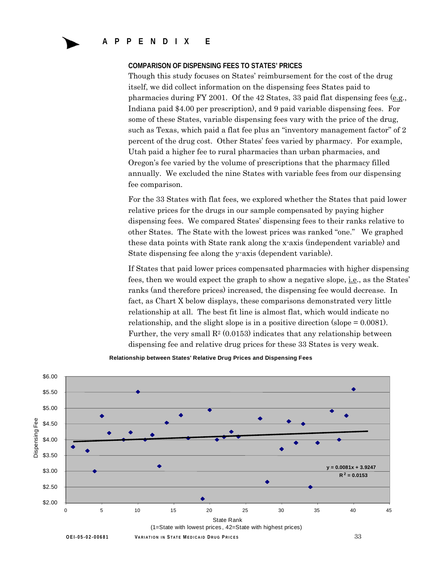**APPENDIX E** 

#### **COMPARISON OF DISPENSING FEES TO STATES' PRICES**

Though this study focuses on States' reimbursement for the cost of the drug itself, we did collect information on the dispensing fees States paid to pharmacies during FY 2001. Of the 42 States, 33 paid flat dispensing fees (e.g., Indiana paid \$4.00 per prescription), and 9 paid variable dispensing fees. For some of these States, variable dispensing fees vary with the price of the drug, such as Texas, which paid a flat fee plus an "inventory management factor" of 2 percent of the drug cost. Other States' fees varied by pharmacy. For example, Utah paid a higher fee to rural pharmacies than urban pharmacies, and Oregon's fee varied by the volume of prescriptions that the pharmacy filled annually. We excluded the nine States with variable fees from our dispensing fee comparison.

For the 33 States with flat fees, we explored whether the States that paid lower relative prices for the drugs in our sample compensated by paying higher dispensing fees. We compared States' dispensing fees to their ranks relative to other States. The State with the lowest prices was ranked "one." We graphed these data points with State rank along the x-axis (independent variable) and State dispensing fee along the y-axis (dependent variable).

If States that paid lower prices compensated pharmacies with higher dispensing fees, then we would expect the graph to show a negative slope, i.e., as the States' ranks (and therefore prices) increased, the dispensing fee would decrease. In fact, as Chart X below displays, these comparisons demonstrated very little relationship at all. The best fit line is almost flat, which would indicate no relationship, and the slight slope is in a positive direction (slope = 0.0081). Further, the very small  $\mathbb{R}^2$  (0.0153) indicates that any relationship between dispensing fee and relative drug prices for these 33 States is very weak.



**Relationship between States' Relative Drug Prices and Dispensing Fees**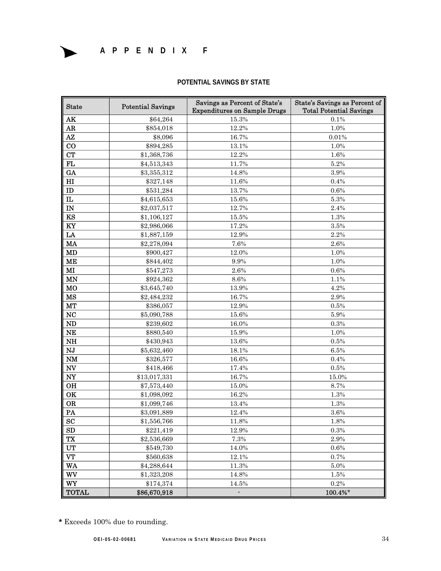### **APPENDIX F**

#### **POTENTIAL SAVINGS BY STATE**

| <b>State</b>               | <b>Potential Savings</b> | Savings as Percent of State's<br>State's Savings as Percent of<br><b>Total Potential Savings</b><br><b>Expenditures on Sample Drugs</b> |         |
|----------------------------|--------------------------|-----------------------------------------------------------------------------------------------------------------------------------------|---------|
| AK                         | \$64,264                 | 15.3%                                                                                                                                   | 0.1%    |
| AR                         | \$854,018                | 12.2%                                                                                                                                   | 1.0%    |
| $A\mathbf{Z}$              | \$8,096                  | 16.7%                                                                                                                                   | 0.01%   |
| $\bf{CO}$                  | \$894,285                | 13.1%                                                                                                                                   | 1.0%    |
| CT                         | \$1,368,736              | 12.2%                                                                                                                                   | 1.6%    |
| FL                         | \$4,513,343              | 11.7%                                                                                                                                   | 5.2%    |
| GA                         | \$3,355,312              | 14.8%                                                                                                                                   | 3.9%    |
| $\mathbf{H}$               | \$327,148                | 11.6%                                                                                                                                   | 0.4%    |
| ID                         | \$531,284                | 13.7%                                                                                                                                   | 0.6%    |
| $\mathbf{L}$               | \$4,615,653              | 15.6%                                                                                                                                   | 5.3%    |
| IN                         | \$2,037,517              | 12.7%                                                                                                                                   | 2.4%    |
| KS                         | \$1,106,127              | 15.5%                                                                                                                                   | 1.3%    |
| KY                         | \$2,986,066              | 17.2%                                                                                                                                   | $3.5\%$ |
| LA                         | \$1,887,159              | 12.9%                                                                                                                                   | 2.2%    |
| <b>MA</b>                  | \$2,278,094              | 7.6%                                                                                                                                    | 2.6%    |
| MD                         | \$900,427                | 12.0%                                                                                                                                   | 1.0%    |
| <b>ME</b>                  | \$844,402                | $9.9\%$                                                                                                                                 | 1.0%    |
| $\mathbf{M}$               | \$547,273                | $2.6\%$                                                                                                                                 | 0.6%    |
| <b>MN</b>                  | \$924,362                | $8.6\%$                                                                                                                                 | 1.1%    |
| MO                         | \$3,645,740              | 13.9%                                                                                                                                   | 4.2%    |
| MS                         | \$2,484,232              | 16.7%                                                                                                                                   | 2.9%    |
| MT                         | \$386,057                | 12.9%                                                                                                                                   | $0.5\%$ |
| NC                         | \$5,090,788              | 15.6%                                                                                                                                   | 5.9%    |
| ND                         | \$239,602                | 16.0%                                                                                                                                   | $0.3\%$ |
| NE                         | \$880,540                | 15.9%                                                                                                                                   | 1.0%    |
| NH                         | \$430,943                | 13.6%                                                                                                                                   | 0.5%    |
| NJ                         | \$5,632,460              | 18.1%                                                                                                                                   | 6.5%    |
| NM                         | \$326,577                | 16.6%                                                                                                                                   | 0.4%    |
| $\ensuremath{\text{NV}}$   | \$418,466                | 17.4%                                                                                                                                   | $0.5\%$ |
| $\boldsymbol{\mathrm{NY}}$ | \$13,017,331             | 16.7%                                                                                                                                   | 15.0%   |
| <b>OH</b>                  | \$7,573,440              | 15.0%                                                                                                                                   | 8.7%    |
| OK                         | \$1,098,092              | 16.2%                                                                                                                                   | 1.3%    |
| <b>OR</b>                  | \$1,099,746              | 13.4%                                                                                                                                   | 1.3%    |
| PA                         | \$3,091,889              | 12.4%                                                                                                                                   | 3.6%    |
| SC                         | \$1,556,766              | 11.8%                                                                                                                                   | 1.8%    |
| SD                         | \$221,419                | 12.9%                                                                                                                                   | 0.3%    |
| TX                         | \$2,536,669              | $7.3\%$                                                                                                                                 | $2.9\%$ |
| UT                         | \$549,730                | 14.0%                                                                                                                                   | 0.6%    |
| <b>VT</b>                  | \$560,638                | 12.1%                                                                                                                                   | 0.7%    |
| WA                         | \$4,288,644              | 11.3%                                                                                                                                   | $5.0\%$ |
| WV                         | \$1,323,208              | 14.8%                                                                                                                                   | 1.5%    |
| WY                         | \$174,374                | 14.5%                                                                                                                                   | 0.2%    |
| <b>TOTAL</b>               | \$86,670,918             | ÷                                                                                                                                       | 100.4%* |

\* Exceeds 100% due to rounding.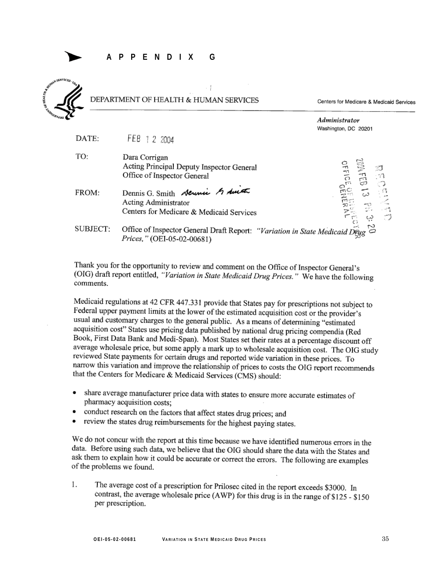

### DEPARTMENT OF HEALTH & HUMAN SERVICES

Centers for Medicare & Medicaid Services



| DATE: | FEB 1 2 2004                                                                              |
|-------|-------------------------------------------------------------------------------------------|
| TO:   | Dara Corrigan<br>Acting Principal Deputy Inspector General<br>Office of Inspector General |
| FROM: | Dennis G. Smith Serinic & Lut<br>Acting Administrator                                     |

Centers for Medicare & Medicaid Services

SUBJECT: Office of Inspector General Draft Report: "Variation in State Medicaid Dru Prices," (OEI-05-02-00681)

Thank you for the opportunity to review and comment on the Office of Inspector General's (OIG) draft report entitled, "Variation in State Medicaid Drug Prices." We have the following comments.

Medicaid regulations at 42 CFR 447.331 provide that States pay for prescriptions not subject to Federal upper payment limits at the lower of the estimated acquisition cost or the provider's usual and customary charges to the general public. As a means of determining "estimated acquisition cost" States use pricing data published by national drug pricing compendia (Red Book, First Data Bank and Medi-Span). Most States set their rates at a percentage discount off average wholesale price, but some apply a mark up to wholesale acquisition cost. The OIG study reviewed State payments for certain drugs and reported wide variation in these prices. To narrow this variation and improve the relationship of prices to costs the OIG report recommends that the Centers for Medicare & Medicaid Services (CMS) should:

- share average manufacturer price data with states to ensure more accurate estimates of  $\bullet$ pharmacy acquisition costs;
- conduct research on the factors that affect states drug prices; and
- review the states drug reimbursements for the highest paying states.

We do not concur with the report at this time because we have identified numerous errors in the data. Before using such data, we believe that the OIG should share the data with the States and ask them to explain how it could be accurate or correct the errors. The following are examples of the problems we found.

1. The average cost of a prescription for Prilosec cited in the report exceeds \$3000. In contrast, the average wholesale price (AWP) for this drug is in the range of \$125 - \$150 per prescription.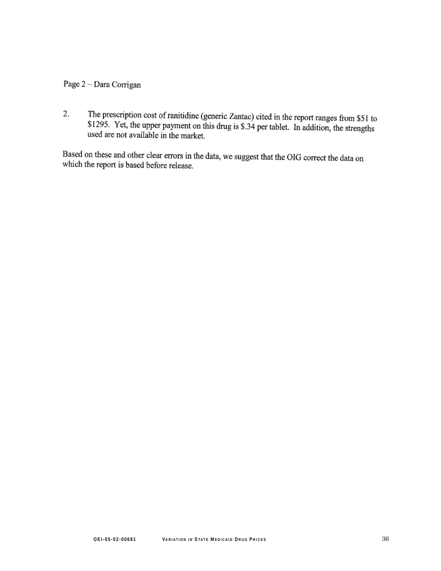### Page 2 - Dara Corrigan

The prescription cost of ranitidine (generic Zantac) cited in the report ranges from \$51 to  $$1205$ . Yet the unnecessary of the state of the state of the state of the state of the state of the state of the state of the st 2. \$1295. Yet, the upper payment on this drug is \$.34 per tablet. In addition, the strengths used are not available in the market.

Based on these and other clear errors in the data, we suggest that the OIG correct the data on which the report is based before release.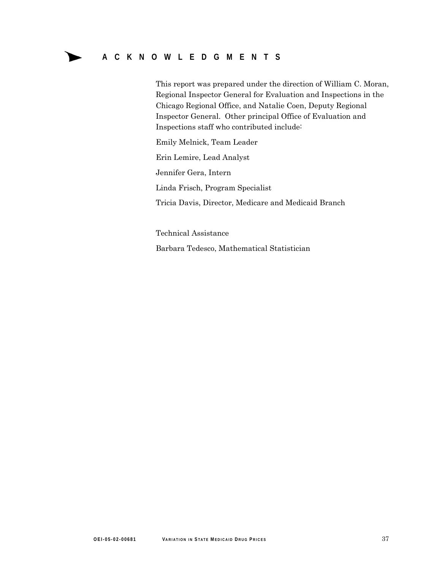►

This report was prepared under the direction of William C. Moran, Regional Inspector General for Evaluation and Inspections in the Chicago Regional Office, and Natalie Coen, Deputy Regional Inspector General. Other principal Office of Evaluation and Inspections staff who contributed include:

Emily Melnick, Team Leader

Erin Lemire, Lead Analyst

Jennifer Gera, Intern

Linda Frisch, Program Specialist

Tricia Davis, Director, Medicare and Medicaid Branch

Technical Assistance Barbara Tedesco, Mathematical Statistician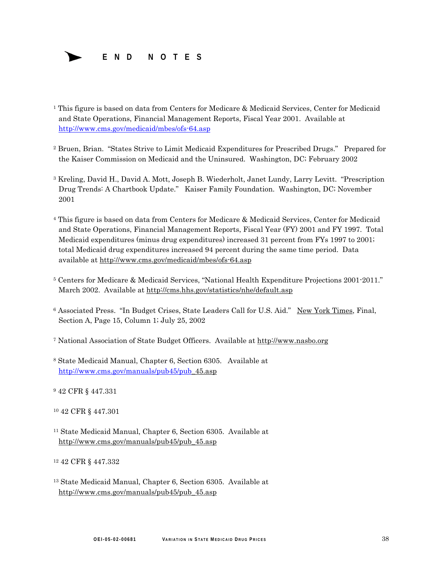

- <sup>1</sup> This figure is based on data from Centers for Medicare & Medicaid Services, Center for Medicaid and State Operations, Financial Management Reports, Fiscal Year 2001. Available at http://www.cms.gov/medicaid/mbes/ofs-64.asp
- 2 Bruen, Brian. "States Strive to Limit Medicaid Expenditures for Prescribed Drugs." Prepared for the Kaiser Commission on Medicaid and the Uninsured. Washington, DC; February 2002
- 2001 3 Kreling, David H., David A. Mott, Joseph B. Wiederholt, Janet Lundy, Larry Levitt. "Prescription Drug Trends: A Chartbook Update." Kaiser Family Foundation. Washington, DC; November
- 4 This figure is based on data from Centers for Medicare & Medicaid Services, Center for Medicaid and State Operations, Financial Management Reports, Fiscal Year (FY) 2001 and FY 1997. Total Medicaid expenditures (minus drug expenditures) increased 31 percent from FYs 1997 to 2001; total Medicaid drug expenditures increased 94 percent during the same time period. Data available at http://www.cms.gov/medicaid/mbes/ofs-64.asp
- 5 Centers for Medicare & Medicaid Services, "National Health Expenditure Projections 2001-2011." March 2002. Available at http://cms.hhs.gov/statistics/nhe/default.asp
- 6 Associated Press. "In Budget Crises, State Leaders Call for U.S. Aid." New York Times, Final, Section A, Page 15, Column 1; July 25, 2002
- 7 National Association of State Budget Officers. Available at http://www.nasbo.org
- 8 State Medicaid Manual, Chapter 6, Section 6305. Available at http://www.cms.gov/manuals/pub45/pub\_45.asp
- 9 42 CFR § 447.331
- 10 42 CFR § 447.301
- 11 State Medicaid Manual, Chapter 6, Section 6305. Available at http://www.cms.gov/manuals/pub45/pub\_45.asp
- 12 42 CFR § 447.332
- 13 State Medicaid Manual, Chapter 6, Section 6305. Available at http://www.cms.gov/manuals/pub45/pub\_45.asp